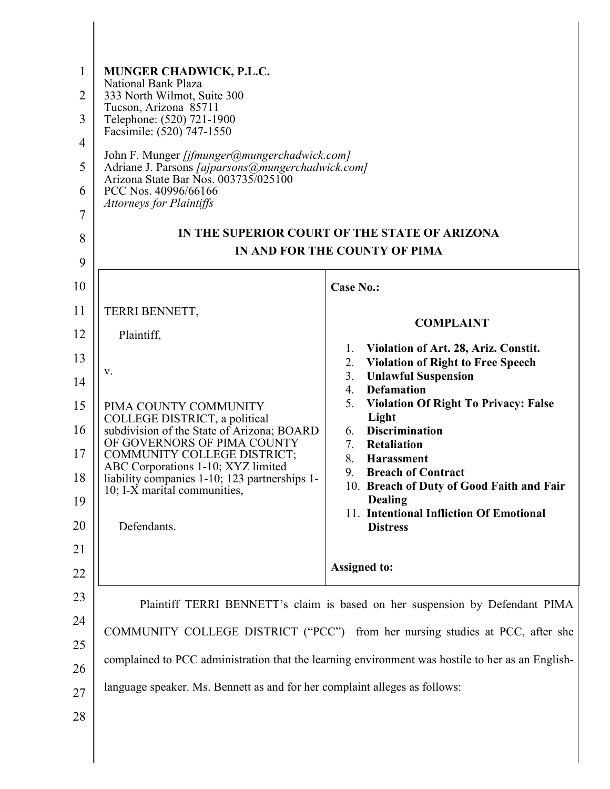| National Bank Plaza                                                                 |                                                                                                                                                                                                                                                                                                                                                                                                                 |
|-------------------------------------------------------------------------------------|-----------------------------------------------------------------------------------------------------------------------------------------------------------------------------------------------------------------------------------------------------------------------------------------------------------------------------------------------------------------------------------------------------------------|
| Tucson, Arizona 85711                                                               |                                                                                                                                                                                                                                                                                                                                                                                                                 |
| Facsimile: (520) 747-1550                                                           |                                                                                                                                                                                                                                                                                                                                                                                                                 |
| John F. Munger [jfmunger@mungerchadwick.com]                                        |                                                                                                                                                                                                                                                                                                                                                                                                                 |
| Arizona State Bar Nos. 003735/025100                                                |                                                                                                                                                                                                                                                                                                                                                                                                                 |
| <b>Attorneys for Plaintiffs</b>                                                     |                                                                                                                                                                                                                                                                                                                                                                                                                 |
|                                                                                     | IN THE SUPERIOR COURT OF THE STATE OF ARIZONA                                                                                                                                                                                                                                                                                                                                                                   |
|                                                                                     | IN AND FOR THE COUNTY OF PIMA                                                                                                                                                                                                                                                                                                                                                                                   |
|                                                                                     | <b>Case No.:</b>                                                                                                                                                                                                                                                                                                                                                                                                |
|                                                                                     |                                                                                                                                                                                                                                                                                                                                                                                                                 |
|                                                                                     | <b>COMPLAINT</b>                                                                                                                                                                                                                                                                                                                                                                                                |
|                                                                                     | Violation of Art. 28, Ariz. Constit.<br>1.<br><b>Violation of Right to Free Speech</b><br>2.                                                                                                                                                                                                                                                                                                                    |
| V.                                                                                  | 3.<br><b>Unlawful Suspension</b>                                                                                                                                                                                                                                                                                                                                                                                |
| PIMA COUNTY COMMUNITY                                                               | <b>Defamation</b><br>4.<br>5.<br><b>Violation Of Right To Privacy: False</b>                                                                                                                                                                                                                                                                                                                                    |
| COLLEGE DISTRICT, a political                                                       | Light<br><b>Discrimination</b><br>6.                                                                                                                                                                                                                                                                                                                                                                            |
| OF GOVERNORS OF PIMA COUNTY<br><b>COMMUNITY COLLEGE DISTRICT;</b>                   | 7.<br>Retaliation<br>8.<br><b>Harassment</b>                                                                                                                                                                                                                                                                                                                                                                    |
| ABC Corporations 1-10; XYZ limited<br>liability companies 1-10; 123 partnerships 1- | <b>Breach of Contract</b><br>9.                                                                                                                                                                                                                                                                                                                                                                                 |
| 10; I-X marital communities,                                                        | 10. Breach of Duty of Good Faith and Fair<br><b>Dealing</b>                                                                                                                                                                                                                                                                                                                                                     |
| Defendants.                                                                         | 11. Intentional Infliction Of Emotional<br><b>Distress</b>                                                                                                                                                                                                                                                                                                                                                      |
|                                                                                     |                                                                                                                                                                                                                                                                                                                                                                                                                 |
|                                                                                     | <b>Assigned to:</b>                                                                                                                                                                                                                                                                                                                                                                                             |
|                                                                                     |                                                                                                                                                                                                                                                                                                                                                                                                                 |
|                                                                                     |                                                                                                                                                                                                                                                                                                                                                                                                                 |
|                                                                                     |                                                                                                                                                                                                                                                                                                                                                                                                                 |
|                                                                                     | complained to PCC administration that the learning environment was hostile to her as an English-                                                                                                                                                                                                                                                                                                                |
| language speaker. Ms. Bennett as and for her complaint alleges as follows:          |                                                                                                                                                                                                                                                                                                                                                                                                                 |
|                                                                                     |                                                                                                                                                                                                                                                                                                                                                                                                                 |
|                                                                                     | MUNGER CHADWICK, P.L.C.<br>333 North Wilmot, Suite 300<br>Telephone: (520) 721-1900<br>Adriane J. Parsons [ajparsons@mungerchadwick.com]<br>PCC Nos. 40996/66166<br>TERRI BENNETT,<br>Plaintiff,<br>subdivision of the State of Arizona; BOARD<br>Plaintiff TERRI BENNETT's claim is based on her suspension by Defendant PIMA<br>COMMUNITY COLLEGE DISTRICT ("PCC") from her nursing studies at PCC, after she |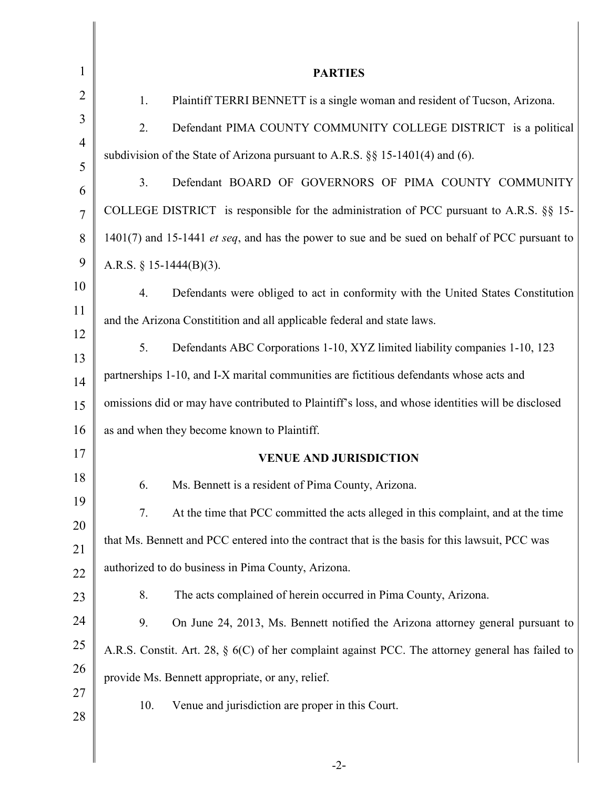| $\mathbf{1}$        | <b>PARTIES</b>                                                                                      |
|---------------------|-----------------------------------------------------------------------------------------------------|
| $\overline{2}$      | Plaintiff TERRI BENNETT is a single woman and resident of Tucson, Arizona.<br>1.                    |
| 3                   | Defendant PIMA COUNTY COMMUNITY COLLEGE DISTRICT is a political<br>2.                               |
| $\overline{4}$      | subdivision of the State of Arizona pursuant to A.R.S. $\S$ 15-1401(4) and (6).                     |
| 5                   | 3.<br>Defendant BOARD OF GOVERNORS OF PIMA COUNTY COMMUNITY                                         |
| 6<br>$\overline{7}$ | COLLEGE DISTRICT is responsible for the administration of PCC pursuant to A.R.S. $\S\S$ 15-         |
| 8                   | 1401(7) and 15-1441 et seq, and has the power to sue and be sued on behalf of PCC pursuant to       |
| 9                   | A.R.S. $§ 15-1444(B)(3)$ .                                                                          |
| 10                  | 4.<br>Defendants were obliged to act in conformity with the United States Constitution              |
| 11                  | and the Arizona Constitution and all applicable federal and state laws.                             |
| 12                  | 5.<br>Defendants ABC Corporations 1-10, XYZ limited liability companies 1-10, 123                   |
| 13                  | partnerships 1-10, and I-X marital communities are fictitious defendants whose acts and             |
| 14<br>15            | omissions did or may have contributed to Plaintiff's loss, and whose identities will be disclosed   |
| 16                  | as and when they become known to Plaintiff.                                                         |
| 17                  | <b>VENUE AND JURISDICTION</b>                                                                       |
| 18                  | 6.<br>Ms. Bennett is a resident of Pima County, Arizona.                                            |
| 19                  | At the time that PCC committed the acts alleged in this complaint, and at the time<br>7.            |
| 20                  | that Ms. Bennett and PCC entered into the contract that is the basis for this lawsuit, PCC was      |
| 21                  | authorized to do business in Pima County, Arizona.                                                  |
| 22                  | 8.<br>The acts complained of herein occurred in Pima County, Arizona.                               |
| 23<br>24            | 9.<br>On June 24, 2013, Ms. Bennett notified the Arizona attorney general pursuant to               |
| 25                  | A.R.S. Constit. Art. 28, $\S$ 6(C) of her complaint against PCC. The attorney general has failed to |
| 26                  | provide Ms. Bennett appropriate, or any, relief.                                                    |
| 27                  | 10.                                                                                                 |
| 28                  | Venue and jurisdiction are proper in this Court.                                                    |
|                     |                                                                                                     |

∥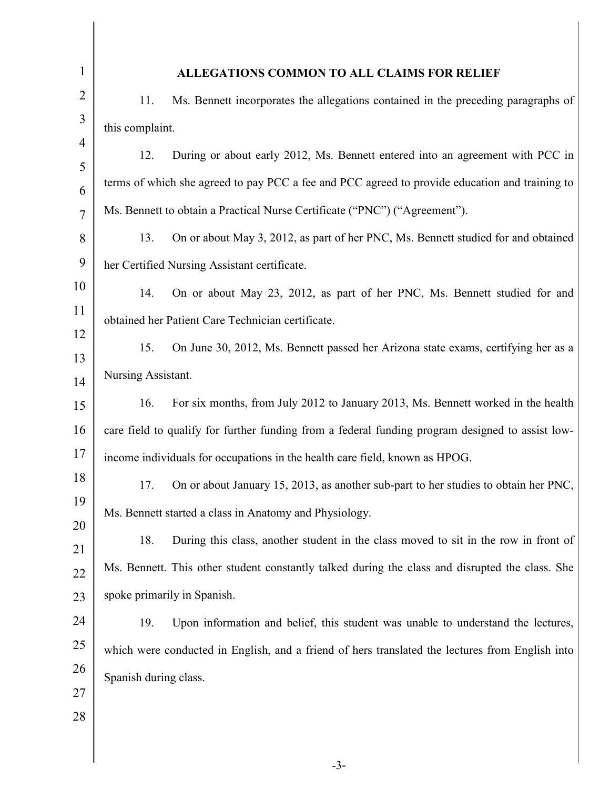| $\mathbf{1}$   | ALLEGATIONS COMMON TO ALL CLAIMS FOR RELIEF                                                      |
|----------------|--------------------------------------------------------------------------------------------------|
| $\overline{2}$ | 11.<br>Ms. Bennett incorporates the allegations contained in the preceding paragraphs of         |
| 3              | this complaint.                                                                                  |
| $\overline{4}$ | 12.<br>During or about early 2012, Ms. Bennett entered into an agreement with PCC in             |
| 5<br>6         | terms of which she agreed to pay PCC a fee and PCC agreed to provide education and training to   |
| $\overline{7}$ | Ms. Bennett to obtain a Practical Nurse Certificate ("PNC") ("Agreement").                       |
| 8              | On or about May 3, 2012, as part of her PNC, Ms. Bennett studied for and obtained<br>13.         |
| 9              | her Certified Nursing Assistant certificate.                                                     |
| 10             | 14.<br>On or about May 23, 2012, as part of her PNC, Ms. Bennett studied for and                 |
| 11             | obtained her Patient Care Technician certificate.                                                |
| 12             | On June 30, 2012, Ms. Bennett passed her Arizona state exams, certifying her as a<br>15.         |
| 13<br>14       | Nursing Assistant.                                                                               |
| 15             | For six months, from July 2012 to January 2013, Ms. Bennett worked in the health<br>16.          |
| 16             | care field to qualify for further funding from a federal funding program designed to assist low- |
| 17             | income individuals for occupations in the health care field, known as HPOG.                      |
| 18             | 17.<br>On or about January 15, 2013, as another sub-part to her studies to obtain her PNC,       |
| 19             | Ms. Bennett started a class in Anatomy and Physiology.                                           |
| 20             | 18.<br>During this class, another student in the class moved to sit in the row in front of       |
| 21<br>22       | Ms. Bennett. This other student constantly talked during the class and disrupted the class. She  |
| 23             | spoke primarily in Spanish.                                                                      |
| 24             | 19.<br>Upon information and belief, this student was unable to understand the lectures,          |
| 25             | which were conducted in English, and a friend of hers translated the lectures from English into  |
| 26             | Spanish during class.                                                                            |
| 27             |                                                                                                  |
| 28             |                                                                                                  |
|                |                                                                                                  |

-3-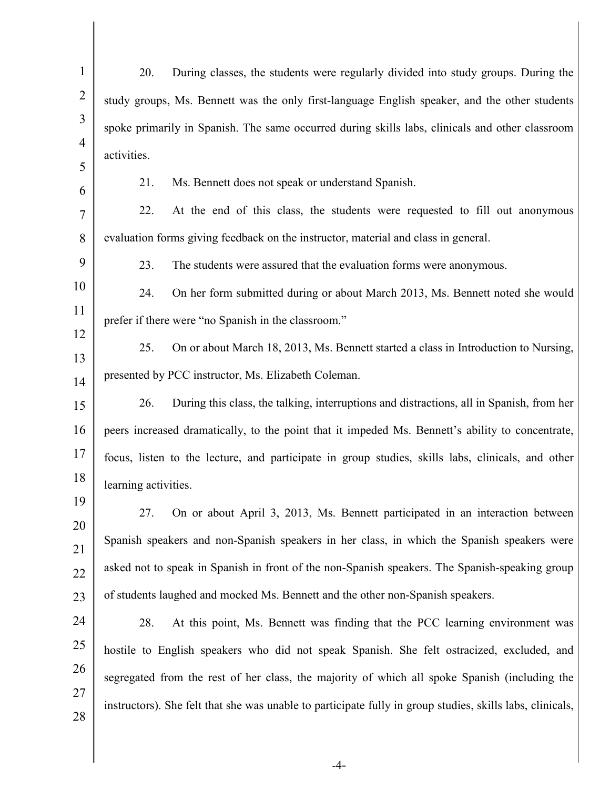| $\mathbf{1}$   | 20.                  | During classes, the students were regularly divided into study groups. During the                         |
|----------------|----------------------|-----------------------------------------------------------------------------------------------------------|
| $\overline{2}$ |                      | study groups, Ms. Bennett was the only first-language English speaker, and the other students             |
| 3              |                      | spoke primarily in Spanish. The same occurred during skills labs, clinicals and other classroom           |
| 4              | activities.          |                                                                                                           |
| 5<br>6         | 21.                  | Ms. Bennett does not speak or understand Spanish.                                                         |
| 7              | 22.                  | At the end of this class, the students were requested to fill out anonymous                               |
| 8              |                      | evaluation forms giving feedback on the instructor, material and class in general.                        |
| 9              | 23.                  | The students were assured that the evaluation forms were anonymous.                                       |
| 10             | 24.                  | On her form submitted during or about March 2013, Ms. Bennett noted she would                             |
| 11             |                      | prefer if there were "no Spanish in the classroom."                                                       |
| 12             | 25.                  | On or about March 18, 2013, Ms. Bennett started a class in Introduction to Nursing,                       |
| 13             |                      | presented by PCC instructor, Ms. Elizabeth Coleman.                                                       |
| 14<br>15       | 26.                  | During this class, the talking, interruptions and distractions, all in Spanish, from her                  |
| 16             |                      | peers increased dramatically, to the point that it impeded Ms. Bennett's ability to concentrate,          |
| 17             |                      | focus, listen to the lecture, and participate in group studies, skills labs, clinicals, and other         |
| 18             | learning activities. |                                                                                                           |
| 19             | 27.                  | On or about April 3, 2013, Ms. Bennett participated in an interaction between                             |
| 20             |                      | Spanish speakers and non-Spanish speakers in her class, in which the Spanish speakers were                |
| 21             |                      | asked not to speak in Spanish in front of the non-Spanish speakers. The Spanish-speaking group            |
| 22             |                      | of students laughed and mocked Ms. Bennett and the other non-Spanish speakers.                            |
| 23<br>24       | 28.                  | At this point, Ms. Bennett was finding that the PCC learning environment was                              |
| 25             |                      |                                                                                                           |
| 26             |                      | hostile to English speakers who did not speak Spanish. She felt ostracized, excluded, and                 |
| 27             |                      | segregated from the rest of her class, the majority of which all spoke Spanish (including the             |
| 28             |                      | instructors). She felt that she was unable to participate fully in group studies, skills labs, clinicals, |
|                |                      |                                                                                                           |

-4-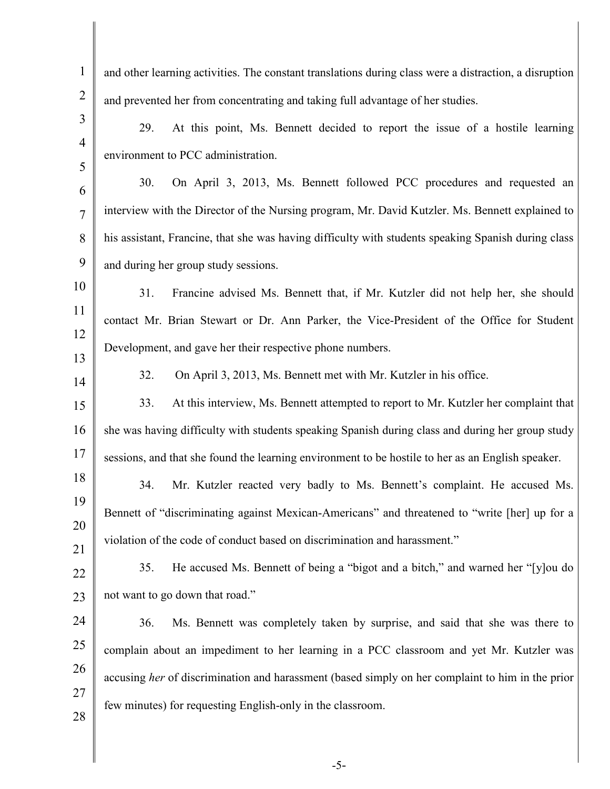| $\mathbf{1}$   | and other learning activities. The constant translations during class were a distraction, a disruption |
|----------------|--------------------------------------------------------------------------------------------------------|
| $\overline{2}$ | and prevented her from concentrating and taking full advantage of her studies.                         |
| 3              | At this point, Ms. Bennett decided to report the issue of a hostile learning<br>29.                    |
| $\overline{4}$ |                                                                                                        |
| 5              | environment to PCC administration.                                                                     |
| 6              | 30.<br>On April 3, 2013, Ms. Bennett followed PCC procedures and requested an                          |
| $\overline{7}$ | interview with the Director of the Nursing program, Mr. David Kutzler. Ms. Bennett explained to        |
| 8              | his assistant, Francine, that she was having difficulty with students speaking Spanish during class    |
| 9              | and during her group study sessions.                                                                   |
| 10             | 31.<br>Francine advised Ms. Bennett that, if Mr. Kutzler did not help her, she should                  |
| 11             | contact Mr. Brian Stewart or Dr. Ann Parker, the Vice-President of the Office for Student              |
| 12             | Development, and gave her their respective phone numbers.                                              |
| 13             | 32.<br>On April 3, 2013, Ms. Bennett met with Mr. Kutzler in his office.                               |
| 14             | 33.                                                                                                    |
| 15             | At this interview, Ms. Bennett attempted to report to Mr. Kutzler her complaint that                   |
| 16             | she was having difficulty with students speaking Spanish during class and during her group study       |
| 17             | sessions, and that she found the learning environment to be hostile to her as an English speaker.      |
| 18<br>19       | Mr. Kutzler reacted very badly to Ms. Bennett's complaint. He accused Ms.<br>34.                       |
| 20             | Bennett of "discriminating against Mexican-Americans" and threatened to "write [her] up for a          |
| 21             | violation of the code of conduct based on discrimination and harassment."                              |
| 22             | He accused Ms. Bennett of being a "bigot and a bitch," and warned her "[y]ou do<br>35.                 |
| 23             | not want to go down that road."                                                                        |
| 24             | 36.<br>Ms. Bennett was completely taken by surprise, and said that she was there to                    |
| 25             | complain about an impediment to her learning in a PCC classroom and yet Mr. Kutzler was                |
| 26             | accusing her of discrimination and harassment (based simply on her complaint to him in the prior       |
| 27             |                                                                                                        |
| 28             | few minutes) for requesting English-only in the classroom.                                             |
|                |                                                                                                        |
|                |                                                                                                        |

-5-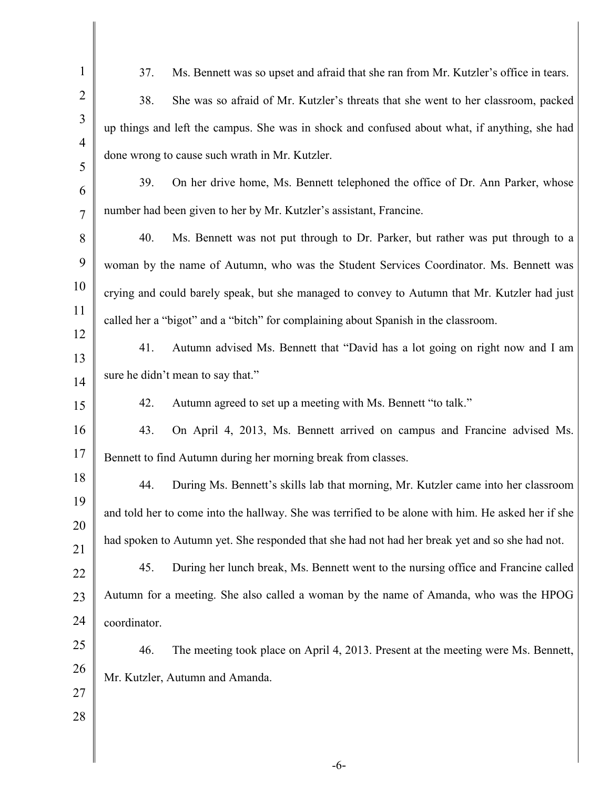| $\mathbf{1}$   | 37.<br>Ms. Bennett was so upset and afraid that she ran from Mr. Kutzler's office in tears.        |
|----------------|----------------------------------------------------------------------------------------------------|
| $\overline{2}$ | 38.<br>She was so afraid of Mr. Kutzler's threats that she went to her classroom, packed           |
| 3              | up things and left the campus. She was in shock and confused about what, if anything, she had      |
| $\overline{4}$ | done wrong to cause such wrath in Mr. Kutzler.                                                     |
| 5<br>6         | 39.<br>On her drive home, Ms. Bennett telephoned the office of Dr. Ann Parker, whose               |
| $\overline{7}$ | number had been given to her by Mr. Kutzler's assistant, Francine.                                 |
| 8              | 40.<br>Ms. Bennett was not put through to Dr. Parker, but rather was put through to a              |
| 9              | woman by the name of Autumn, who was the Student Services Coordinator. Ms. Bennett was             |
| 10             | crying and could barely speak, but she managed to convey to Autumn that Mr. Kutzler had just       |
| 11             | called her a "bigot" and a "bitch" for complaining about Spanish in the classroom.                 |
| 12             | 41.<br>Autumn advised Ms. Bennett that "David has a lot going on right now and I am                |
| 13             | sure he didn't mean to say that."                                                                  |
| 14<br>15       | Autumn agreed to set up a meeting with Ms. Bennett "to talk."<br>42.                               |
| 16             | On April 4, 2013, Ms. Bennett arrived on campus and Francine advised Ms.<br>43.                    |
| 17             | Bennett to find Autumn during her morning break from classes.                                      |
| 18             | During Ms. Bennett's skills lab that morning, Mr. Kutzler came into her classroom<br>44.           |
| 19             | and told her to come into the hallway. She was terrified to be alone with him. He asked her if she |
| 20             |                                                                                                    |
| 21             | had spoken to Autumn yet. She responded that she had not had her break yet and so she had not.     |
| 22             | 45.<br>During her lunch break, Ms. Bennett went to the nursing office and Francine called          |
| 23             | Autumn for a meeting. She also called a woman by the name of Amanda, who was the HPOG              |
| 24             | coordinator.                                                                                       |
| 25<br>26       | 46.<br>The meeting took place on April 4, 2013. Present at the meeting were Ms. Bennett,           |
| 27             | Mr. Kutzler, Autumn and Amanda.                                                                    |
| 28             |                                                                                                    |
|                |                                                                                                    |
|                |                                                                                                    |

-6-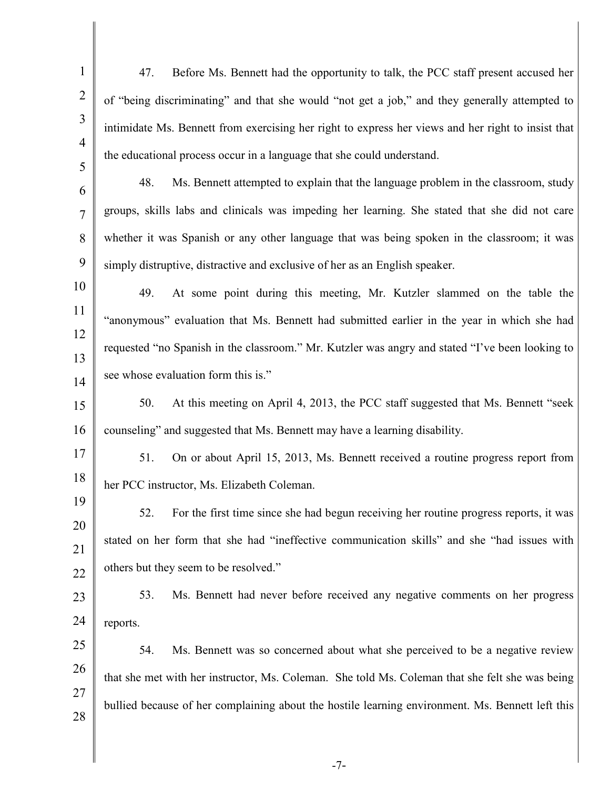1 2 3 4 5 6 7 8 9 10 11 12 13 14 15 16 17 18 19 20 21 22 23 24 25 26 27 28 47. Before Ms. Bennett had the opportunity to talk, the PCC staff present accused her of "being discriminating" and that she would "not get a job," and they generally attempted to intimidate Ms. Bennett from exercising her right to express her views and her right to insist that the educational process occur in a language that she could understand. 48. Ms. Bennett attempted to explain that the language problem in the classroom, study groups, skills labs and clinicals was impeding her learning. She stated that she did not care whether it was Spanish or any other language that was being spoken in the classroom; it was simply distruptive, distractive and exclusive of her as an English speaker. 49. At some point during this meeting, Mr. Kutzler slammed on the table the "anonymous" evaluation that Ms. Bennett had submitted earlier in the year in which she had requested "no Spanish in the classroom." Mr. Kutzler was angry and stated "I've been looking to see whose evaluation form this is." 50. At this meeting on April 4, 2013, the PCC staff suggested that Ms. Bennett "seek counseling" and suggested that Ms. Bennett may have a learning disability. 51. On or about April 15, 2013, Ms. Bennett received a routine progress report from her PCC instructor, Ms. Elizabeth Coleman. 52. For the first time since she had begun receiving her routine progress reports, it was stated on her form that she had "ineffective communication skills" and she "had issues with others but they seem to be resolved." 53. Ms. Bennett had never before received any negative comments on her progress reports. 54. Ms. Bennett was so concerned about what she perceived to be a negative review that she met with her instructor, Ms. Coleman. She told Ms. Coleman that she felt she was being bullied because of her complaining about the hostile learning environment. Ms. Bennett left this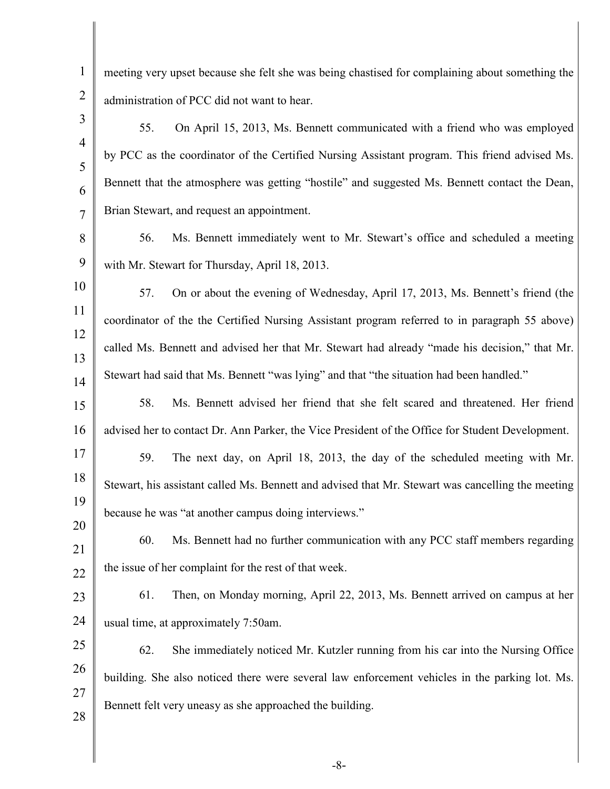meeting very upset because she felt she was being chastised for complaining about something the administration of PCC did not want to hear.

1

2

3

4

5

6

7

20

28

55. On April 15, 2013, Ms. Bennett communicated with a friend who was employed by PCC as the coordinator of the Certified Nursing Assistant program. This friend advised Ms. Bennett that the atmosphere was getting "hostile" and suggested Ms. Bennett contact the Dean, Brian Stewart, and request an appointment.

8 9 56. Ms. Bennett immediately went to Mr. Stewart's office and scheduled a meeting with Mr. Stewart for Thursday, April 18, 2013.

10 11 12 13 14 57. On or about the evening of Wednesday, April 17, 2013, Ms. Bennett's friend (the coordinator of the the Certified Nursing Assistant program referred to in paragraph 55 above) called Ms. Bennett and advised her that Mr. Stewart had already "made his decision," that Mr. Stewart had said that Ms. Bennett "was lying" and that "the situation had been handled."

15 16 58. Ms. Bennett advised her friend that she felt scared and threatened. Her friend advised her to contact Dr. Ann Parker, the Vice President of the Office for Student Development.

17 18 19 59. The next day, on April 18, 2013, the day of the scheduled meeting with Mr. Stewart, his assistant called Ms. Bennett and advised that Mr. Stewart was cancelling the meeting because he was "at another campus doing interviews."

21 22 60. Ms. Bennett had no further communication with any PCC staff members regarding the issue of her complaint for the rest of that week.

23 24 61. Then, on Monday morning, April 22, 2013, Ms. Bennett arrived on campus at her usual time, at approximately 7:50am.

25 26 27 62. She immediately noticed Mr. Kutzler running from his car into the Nursing Office building. She also noticed there were several law enforcement vehicles in the parking lot. Ms. Bennett felt very uneasy as she approached the building.

-8-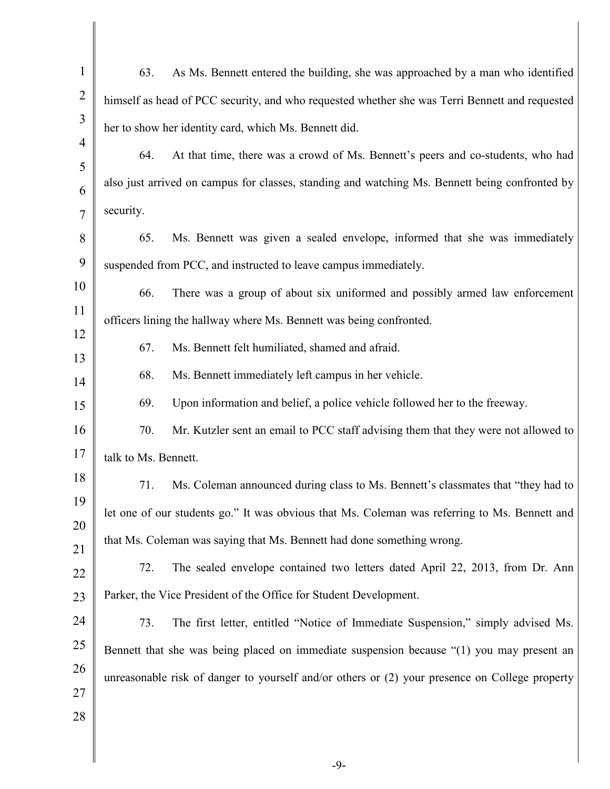| $\mathbf{1}$        | 63.                  | As Ms. Bennett entered the building, she was approached by a man who identified                |
|---------------------|----------------------|------------------------------------------------------------------------------------------------|
| $\overline{2}$      |                      | himself as head of PCC security, and who requested whether she was Terri Bennett and requested |
| 3                   |                      | her to show her identity card, which Ms. Bennett did.                                          |
| $\overline{4}$<br>5 | 64.                  | At that time, there was a crowd of Ms. Bennett's peers and co-students, who had                |
| 6                   |                      | also just arrived on campus for classes, standing and watching Ms. Bennett being confronted by |
| $\overline{7}$      | security.            |                                                                                                |
| 8                   | 65.                  | Ms. Bennett was given a sealed envelope, informed that she was immediately                     |
| 9                   |                      | suspended from PCC, and instructed to leave campus immediately.                                |
| 10                  | 66.                  | There was a group of about six uniformed and possibly armed law enforcement                    |
| 11                  |                      | officers lining the hallway where Ms. Bennett was being confronted.                            |
| 12<br>13            | 67.                  | Ms. Bennett felt humiliated, shamed and afraid.                                                |
| 14                  | 68.                  | Ms. Bennett immediately left campus in her vehicle.                                            |
| 15                  | 69.                  | Upon information and belief, a police vehicle followed her to the freeway.                     |
| 16                  | 70.                  | Mr. Kutzler sent an email to PCC staff advising them that they were not allowed to             |
| 17                  | talk to Ms. Bennett. |                                                                                                |
| 18                  | 71.                  | Ms. Coleman announced during class to Ms. Bennett's classmates that "they had to               |
| 19                  |                      | let one of our students go." It was obvious that Ms. Coleman was referring to Ms. Bennett and  |
| 20<br>21            |                      | that Ms. Coleman was saying that Ms. Bennett had done something wrong.                         |
| 22                  | 72.                  | The sealed envelope contained two letters dated April 22, 2013, from Dr. Ann                   |
| 23                  |                      | Parker, the Vice President of the Office for Student Development.                              |
| 24                  | 73.                  | The first letter, entitled "Notice of Immediate Suspension," simply advised Ms.                |
| 25                  |                      | Bennett that she was being placed on immediate suspension because "(1) you may present an      |
| 26                  |                      | unreasonable risk of danger to yourself and/or others or (2) your presence on College property |
| 27                  |                      |                                                                                                |
| 28                  |                      |                                                                                                |
|                     |                      |                                                                                                |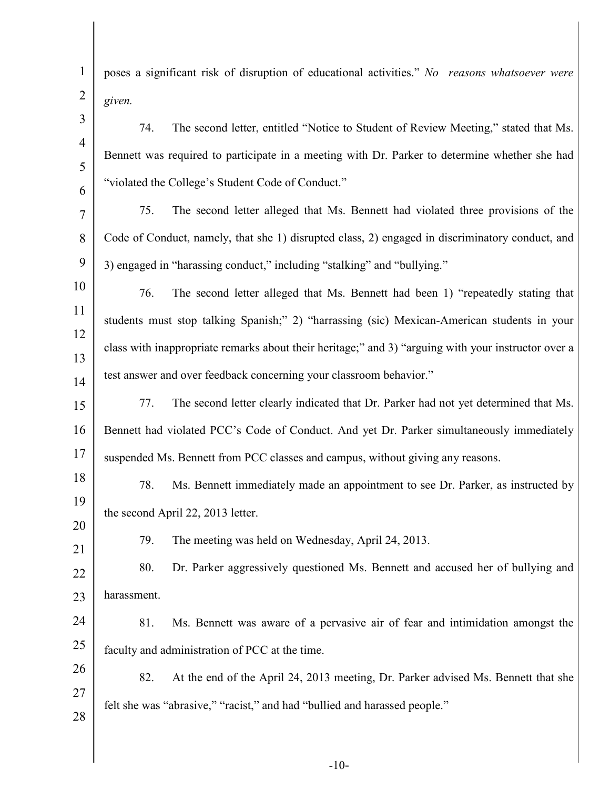1 2 3 4 5 6 7 8 9 10 11 12 13 14 15 16 17 18 19 20 21 22 23 24 25 26 27 28 poses a significant risk of disruption of educational activities." *No reasons whatsoever were given.* 74. The second letter, entitled "Notice to Student of Review Meeting," stated that Ms. Bennett was required to participate in a meeting with Dr. Parker to determine whether she had "violated the College's Student Code of Conduct." 75. The second letter alleged that Ms. Bennett had violated three provisions of the Code of Conduct, namely, that she 1) disrupted class, 2) engaged in discriminatory conduct, and 3) engaged in "harassing conduct," including "stalking" and "bullying." 76. The second letter alleged that Ms. Bennett had been 1) "repeatedly stating that students must stop talking Spanish;" 2) "harrassing (sic) Mexican-American students in your class with inappropriate remarks about their heritage;" and 3) "arguing with your instructor over a test answer and over feedback concerning your classroom behavior." 77. The second letter clearly indicated that Dr. Parker had not yet determined that Ms. Bennett had violated PCC's Code of Conduct. And yet Dr. Parker simultaneously immediately suspended Ms. Bennett from PCC classes and campus, without giving any reasons. 78. Ms. Bennett immediately made an appointment to see Dr. Parker, as instructed by the second April 22, 2013 letter. 79. The meeting was held on Wednesday, April 24, 2013. 80. Dr. Parker aggressively questioned Ms. Bennett and accused her of bullying and harassment. 81. Ms. Bennett was aware of a pervasive air of fear and intimidation amongst the faculty and administration of PCC at the time. 82. At the end of the April 24, 2013 meeting, Dr. Parker advised Ms. Bennett that she felt she was "abrasive," "racist," and had "bullied and harassed people."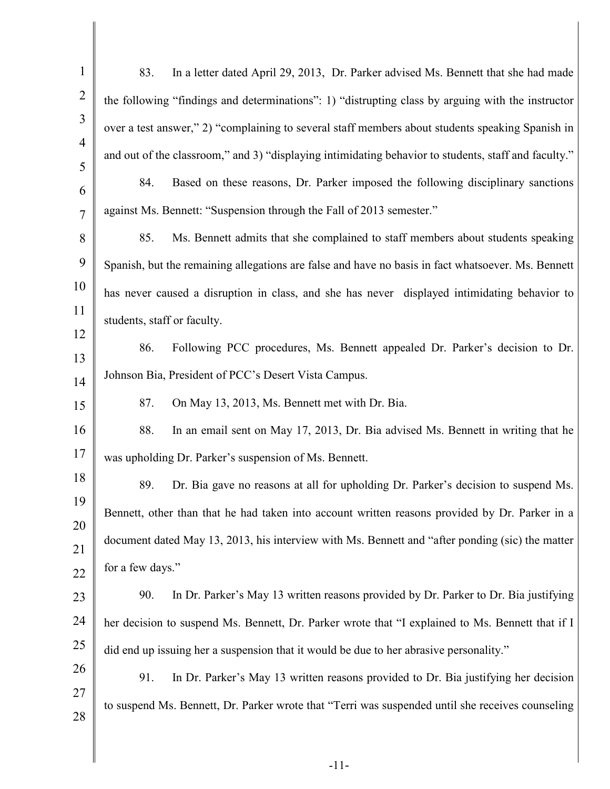| $\mathbf{1}$   | In a letter dated April 29, 2013, Dr. Parker advised Ms. Bennett that she had made<br>83.            |
|----------------|------------------------------------------------------------------------------------------------------|
| $\overline{2}$ | the following "findings and determinations": 1) "distrupting class by arguing with the instructor    |
| 3              | over a test answer," 2) "complaining to several staff members about students speaking Spanish in     |
| $\overline{4}$ | and out of the classroom," and 3) "displaying intimidating behavior to students, staff and faculty." |
| 5<br>6         | 84.<br>Based on these reasons, Dr. Parker imposed the following disciplinary sanctions               |
| $\overline{7}$ | against Ms. Bennett: "Suspension through the Fall of 2013 semester."                                 |
| 8              | 85.<br>Ms. Bennett admits that she complained to staff members about students speaking               |
| 9              | Spanish, but the remaining allegations are false and have no basis in fact whatsoever. Ms. Bennett   |
| 10             | has never caused a disruption in class, and she has never displayed intimidating behavior to         |
| 11             | students, staff or faculty.                                                                          |
| 12<br>13       | 86.<br>Following PCC procedures, Ms. Bennett appealed Dr. Parker's decision to Dr.                   |
| 14             | Johnson Bia, President of PCC's Desert Vista Campus.                                                 |
| 15             | 87.<br>On May 13, 2013, Ms. Bennett met with Dr. Bia.                                                |
| 16             | In an email sent on May 17, 2013, Dr. Bia advised Ms. Bennett in writing that he<br>88.              |
| 17             | was upholding Dr. Parker's suspension of Ms. Bennett.                                                |
| 18             | 89.<br>Dr. Bia gave no reasons at all for upholding Dr. Parker's decision to suspend Ms.             |
| 19<br>20       | Bennett, other than that he had taken into account written reasons provided by Dr. Parker in a       |
| 21             | document dated May 13, 2013, his interview with Ms. Bennett and "after ponding (sic) the matter      |
| 22             | for a few days."                                                                                     |
| 23             | 90.<br>In Dr. Parker's May 13 written reasons provided by Dr. Parker to Dr. Bia justifying           |
| 24             | her decision to suspend Ms. Bennett, Dr. Parker wrote that "I explained to Ms. Bennett that if I     |
| 25             | did end up issuing her a suspension that it would be due to her abrasive personality."               |
| 26<br>27       | 91.<br>In Dr. Parker's May 13 written reasons provided to Dr. Bia justifying her decision            |
| 28             | to suspend Ms. Bennett, Dr. Parker wrote that "Terri was suspended until she receives counseling     |
|                |                                                                                                      |

∥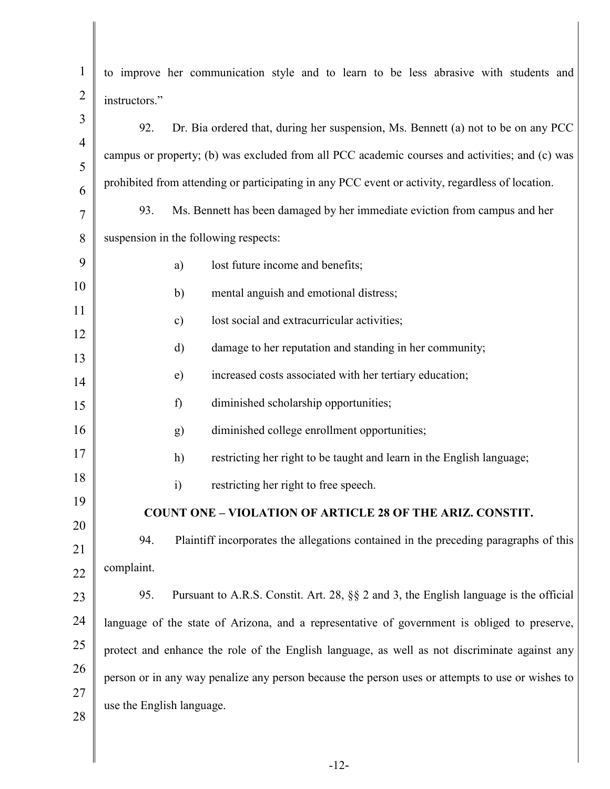| $\mathbf{1}$        | to improve her communication style and to learn to be less abrasive with students and            |
|---------------------|--------------------------------------------------------------------------------------------------|
| $\overline{2}$      | instructors."                                                                                    |
| 3                   | Dr. Bia ordered that, during her suspension, Ms. Bennett (a) not to be on any PCC<br>92.         |
| $\overline{4}$      | campus or property; (b) was excluded from all PCC academic courses and activities; and (c) was   |
| 5                   | prohibited from attending or participating in any PCC event or activity, regardless of location. |
| 6<br>$\overline{7}$ | Ms. Bennett has been damaged by her immediate eviction from campus and her<br>93.                |
| 8                   | suspension in the following respects:                                                            |
| 9                   | lost future income and benefits;<br>a)                                                           |
| 10                  | b)<br>mental anguish and emotional distress;                                                     |
| 11                  | lost social and extracurricular activities;<br>$\mathbf{c})$                                     |
| 12                  |                                                                                                  |
| 13                  | damage to her reputation and standing in her community;<br>d)                                    |
| 14                  | increased costs associated with her tertiary education;<br>e)                                    |
| 15                  | diminished scholarship opportunities;<br>f)                                                      |
| 16                  | diminished college enrollment opportunities;<br>g)                                               |
| 17                  | h)<br>restricting her right to be taught and learn in the English language;                      |
| 18                  | restricting her right to free speech.<br>$\ddot{i}$                                              |
| 19                  | <b>COUNT ONE - VIOLATION OF ARTICLE 28 OF THE ARIZ. CONSTIT.</b>                                 |
| 20                  | Plaintiff incorporates the allegations contained in the preceding paragraphs of this<br>94.      |
| 21                  | complaint.                                                                                       |
| 22<br>23            | 95.<br>Pursuant to A.R.S. Constit. Art. 28, §§ 2 and 3, the English language is the official     |
| 24                  | language of the state of Arizona, and a representative of government is obliged to preserve,     |
| 25                  | protect and enhance the role of the English language, as well as not discriminate against any    |
| 26                  |                                                                                                  |
| 27                  | person or in any way penalize any person because the person uses or attempts to use or wishes to |
| 28                  | use the English language.                                                                        |
|                     |                                                                                                  |
|                     |                                                                                                  |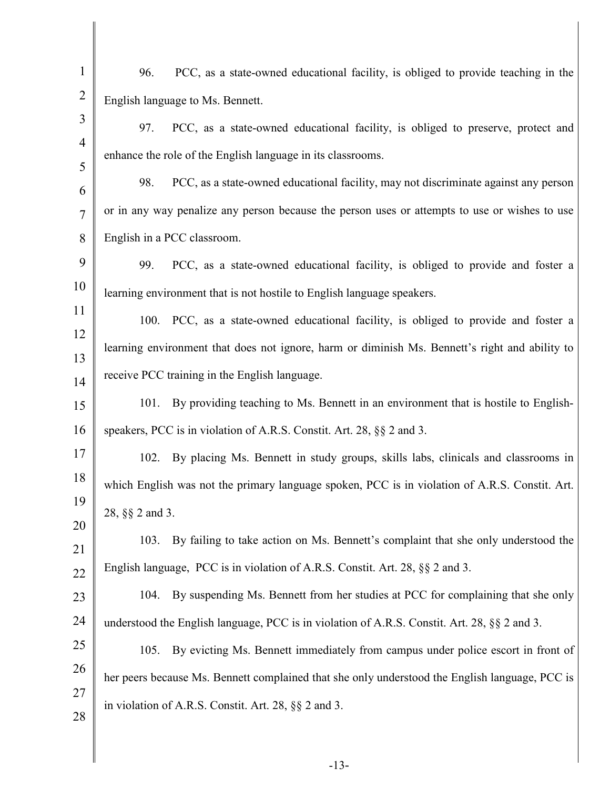| $\mathbf{1}$   | PCC, as a state-owned educational facility, is obliged to provide teaching in the<br>96.       |
|----------------|------------------------------------------------------------------------------------------------|
| $\overline{2}$ | English language to Ms. Bennett.                                                               |
| 3              | 97.<br>PCC, as a state-owned educational facility, is obliged to preserve, protect and         |
| $\overline{4}$ | enhance the role of the English language in its classrooms.                                    |
| 5<br>6         | 98.<br>PCC, as a state-owned educational facility, may not discriminate against any person     |
| $\overline{7}$ | or in any way penalize any person because the person uses or attempts to use or wishes to use  |
| 8              | English in a PCC classroom.                                                                    |
| 9              | 99.<br>PCC, as a state-owned educational facility, is obliged to provide and foster a          |
| 10             | learning environment that is not hostile to English language speakers.                         |
| 11             | 100. PCC, as a state-owned educational facility, is obliged to provide and foster a            |
| 12             | learning environment that does not ignore, harm or diminish Ms. Bennett's right and ability to |
| 13<br>14       | receive PCC training in the English language.                                                  |
| 15             | By providing teaching to Ms. Bennett in an environment that is hostile to English-<br>101.     |
| 16             | speakers, PCC is in violation of A.R.S. Constit. Art. 28, §§ 2 and 3.                          |
| 17             | 102. By placing Ms. Bennett in study groups, skills labs, clinicals and classrooms in          |
| 18             | which English was not the primary language spoken, PCC is in violation of A.R.S. Constit. Art. |
| 19             | 28, §§ 2 and 3.                                                                                |
| 20             | By failing to take action on Ms. Bennett's complaint that she only understood the<br>103.      |
| 21             | English language, PCC is in violation of A.R.S. Constit. Art. 28, §§ 2 and 3.                  |
| 22<br>23       | By suspending Ms. Bennett from her studies at PCC for complaining that she only<br>104.        |
| 24             | understood the English language, PCC is in violation of A.R.S. Constit. Art. 28, §§ 2 and 3.   |
| 25             | By evicting Ms. Bennett immediately from campus under police escort in front of<br>105.        |
| 26             | her peers because Ms. Bennett complained that she only understood the English language, PCC is |
| 27             | in violation of A.R.S. Constit. Art. 28, $\S\S 2$ and 3.                                       |
| 28             |                                                                                                |
|                |                                                                                                |
|                |                                                                                                |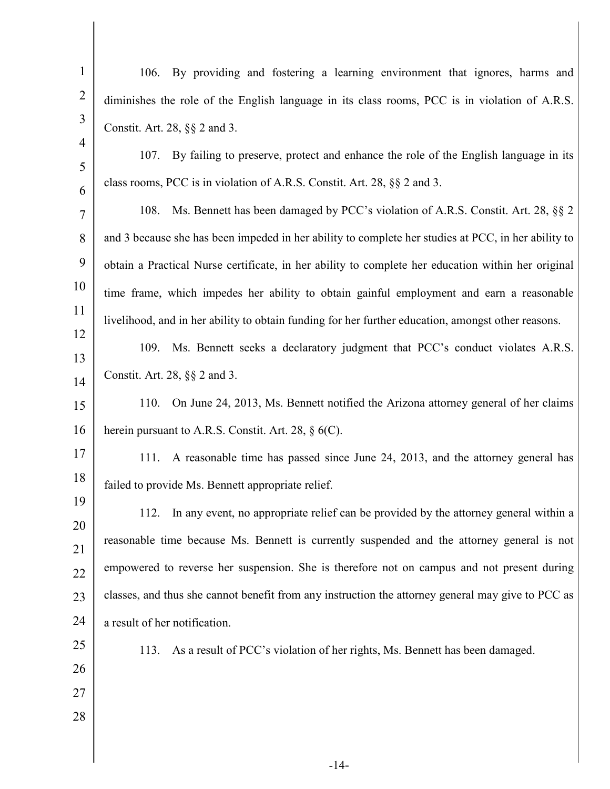| $\mathbf{1}$   |                                                                                                     |
|----------------|-----------------------------------------------------------------------------------------------------|
|                | 106. By providing and fostering a learning environment that ignores, harms and                      |
| $\overline{2}$ | diminishes the role of the English language in its class rooms, PCC is in violation of A.R.S.       |
| 3              | Constit. Art. 28, §§ 2 and 3.                                                                       |
| $\overline{4}$ | By failing to preserve, protect and enhance the role of the English language in its<br>107.         |
| 5              | class rooms, PCC is in violation of A.R.S. Constit. Art. 28, §§ 2 and 3.                            |
| 6<br>7         | Ms. Bennett has been damaged by PCC's violation of A.R.S. Constit. Art. 28, §§ 2<br>108.            |
| 8              | and 3 because she has been impeded in her ability to complete her studies at PCC, in her ability to |
| 9              | obtain a Practical Nurse certificate, in her ability to complete her education within her original  |
| 10             |                                                                                                     |
| 11             | time frame, which impedes her ability to obtain gainful employment and earn a reasonable            |
| 12             | livelihood, and in her ability to obtain funding for her further education, amongst other reasons.  |
| 13             | 109. Ms. Bennett seeks a declaratory judgment that PCC's conduct violates A.R.S.                    |
| 14             | Constit. Art. 28, §§ 2 and 3.                                                                       |
| 15             | 110.<br>On June 24, 2013, Ms. Bennett notified the Arizona attorney general of her claims           |
| 16             | herein pursuant to A.R.S. Constit. Art. 28, $\S$ 6(C).                                              |
| 17             | A reasonable time has passed since June 24, 2013, and the attorney general has<br>111.              |
| 18             | failed to provide Ms. Bennett appropriate relief.                                                   |
| 19             | In any event, no appropriate relief can be provided by the attorney general within a<br>112.        |
| 20             | reasonable time because Ms. Bennett is currently suspended and the attorney general is not          |
| 21             |                                                                                                     |
| 22             | empowered to reverse her suspension. She is therefore not on campus and not present during          |
| 23             | classes, and thus she cannot benefit from any instruction the attorney general may give to PCC as   |
| 24             | a result of her notification.                                                                       |
| 25             | As a result of PCC's violation of her rights, Ms. Bennett has been damaged.<br>113.                 |
| 26             |                                                                                                     |
| 27             |                                                                                                     |
| 28             |                                                                                                     |
|                |                                                                                                     |
|                |                                                                                                     |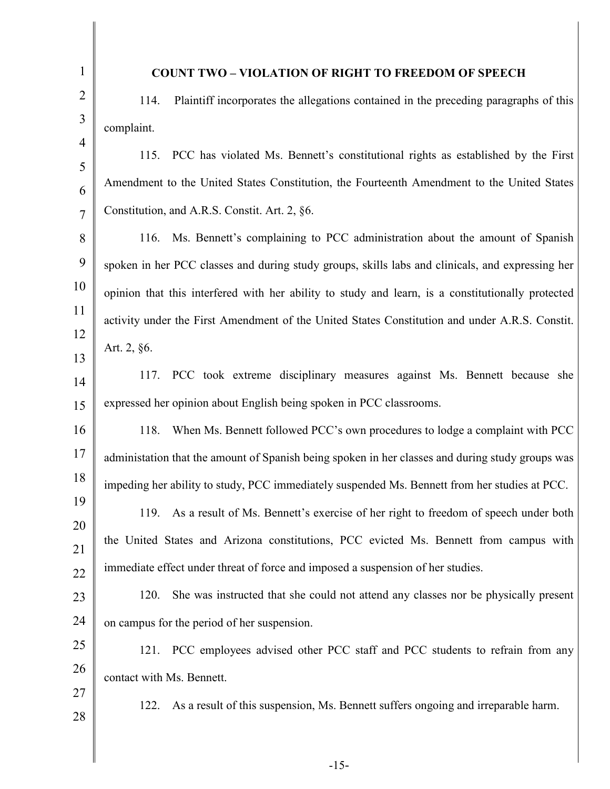| $\mathbf{1}$   | <b>COUNT TWO - VIOLATION OF RIGHT TO FREEDOM OF SPEECH</b>                                        |
|----------------|---------------------------------------------------------------------------------------------------|
| $\overline{2}$ | Plaintiff incorporates the allegations contained in the preceding paragraphs of this<br>114.      |
| 3              | complaint.                                                                                        |
| $\overline{4}$ | PCC has violated Ms. Bennett's constitutional rights as established by the First<br>115.          |
| 5<br>6         | Amendment to the United States Constitution, the Fourteenth Amendment to the United States        |
| $\overline{7}$ | Constitution, and A.R.S. Constit. Art. 2, §6.                                                     |
| 8              | 116. Ms. Bennett's complaining to PCC administration about the amount of Spanish                  |
| 9              | spoken in her PCC classes and during study groups, skills labs and clinicals, and expressing her  |
| 10             | opinion that this interfered with her ability to study and learn, is a constitutionally protected |
| 11             | activity under the First Amendment of the United States Constitution and under A.R.S. Constit.    |
| 12             | Art. 2, §6.                                                                                       |
| 13<br>14       | PCC took extreme disciplinary measures against Ms. Bennett because she<br>117.                    |
| 15             | expressed her opinion about English being spoken in PCC classrooms.                               |
| 16             | When Ms. Bennett followed PCC's own procedures to lodge a complaint with PCC<br>118.              |
| 17             | administation that the amount of Spanish being spoken in her classes and during study groups was  |
| 18             | impeding her ability to study, PCC immediately suspended Ms. Bennett from her studies at PCC.     |
| 19             | 119. As a result of Ms. Bennett's exercise of her right to freedom of speech under both           |
| 20             | the United States and Arizona constitutions, PCC evicted Ms. Bennett from campus with             |
| 21             | immediate effect under threat of force and imposed a suspension of her studies.                   |
| 22             | She was instructed that she could not attend any classes nor be physically present<br>120.        |
| 23<br>24       | on campus for the period of her suspension.                                                       |
| 25             |                                                                                                   |
| 26             | 121. PCC employees advised other PCC staff and PCC students to refrain from any                   |
| 27             | contact with Ms. Bennett.                                                                         |
| 28             | As a result of this suspension, Ms. Bennett suffers ongoing and irreparable harm.<br>122.         |
|                |                                                                                                   |
|                |                                                                                                   |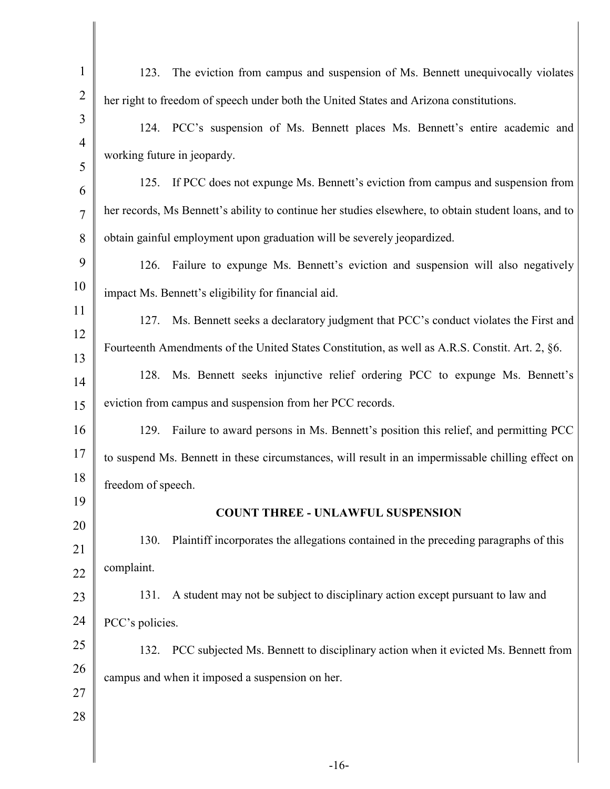| $\mathbf{1}$   | The eviction from campus and suspension of Ms. Bennett unequivocally violates<br>123.                |
|----------------|------------------------------------------------------------------------------------------------------|
| $\overline{2}$ | her right to freedom of speech under both the United States and Arizona constitutions.               |
| 3              | 124. PCC's suspension of Ms. Bennett places Ms. Bennett's entire academic and                        |
| $\overline{4}$ | working future in jeopardy.                                                                          |
| 5<br>6         | 125. If PCC does not expunge Ms. Bennett's eviction from campus and suspension from                  |
| $\overline{7}$ | her records, Ms Bennett's ability to continue her studies elsewhere, to obtain student loans, and to |
| 8              | obtain gainful employment upon graduation will be severely jeopardized.                              |
| 9              | Failure to expunge Ms. Bennett's eviction and suspension will also negatively<br>126.                |
| 10             | impact Ms. Bennett's eligibility for financial aid.                                                  |
| 11             | Ms. Bennett seeks a declaratory judgment that PCC's conduct violates the First and<br>127.           |
| 12<br>13       | Fourteenth Amendments of the United States Constitution, as well as A.R.S. Constit. Art. 2, §6.      |
| 14             | 128. Ms. Bennett seeks injunctive relief ordering PCC to expunge Ms. Bennett's                       |
| 15             | eviction from campus and suspension from her PCC records.                                            |
| 16             | Failure to award persons in Ms. Bennett's position this relief, and permitting PCC<br>129.           |
| 17             | to suspend Ms. Bennett in these circumstances, will result in an impermissable chilling effect on    |
| 18             | freedom of speech.                                                                                   |
| 19             | <b>COUNT THREE - UNLAWFUL SUSPENSION</b>                                                             |
| 20<br>21       | Plaintiff incorporates the allegations contained in the preceding paragraphs of this<br>130.         |
| 22             | complaint.                                                                                           |
| 23             | A student may not be subject to disciplinary action except pursuant to law and<br>131.               |
| 24             | PCC's policies.                                                                                      |
| 25             | 132. PCC subjected Ms. Bennett to disciplinary action when it evicted Ms. Bennett from               |
| 26             | campus and when it imposed a suspension on her.                                                      |
| 27             |                                                                                                      |
| 28             |                                                                                                      |
|                |                                                                                                      |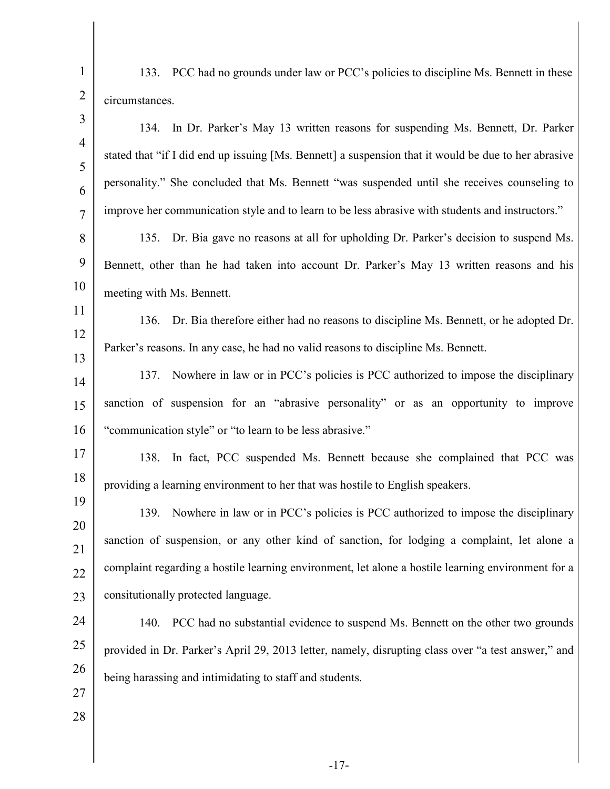1 2 3 4 5 6 7 8 9 10 11 12 13 14 15 16 17 18 19 20 21 22 23 24 25 26 27 28 133. PCC had no grounds under law or PCC's policies to discipline Ms. Bennett in these circumstances. 134. In Dr. Parker's May 13 written reasons for suspending Ms. Bennett, Dr. Parker stated that "if I did end up issuing [Ms. Bennett] a suspension that it would be due to her abrasive personality." She concluded that Ms. Bennett "was suspended until she receives counseling to improve her communication style and to learn to be less abrasive with students and instructors." 135. Dr. Bia gave no reasons at all for upholding Dr. Parker's decision to suspend Ms. Bennett, other than he had taken into account Dr. Parker's May 13 written reasons and his meeting with Ms. Bennett. 136. Dr. Bia therefore either had no reasons to discipline Ms. Bennett, or he adopted Dr. Parker's reasons. In any case, he had no valid reasons to discipline Ms. Bennett. 137. Nowhere in law or in PCC's policies is PCC authorized to impose the disciplinary sanction of suspension for an "abrasive personality" or as an opportunity to improve "communication style" or "to learn to be less abrasive." 138. In fact, PCC suspended Ms. Bennett because she complained that PCC was providing a learning environment to her that was hostile to English speakers. 139. Nowhere in law or in PCC's policies is PCC authorized to impose the disciplinary sanction of suspension, or any other kind of sanction, for lodging a complaint, let alone a complaint regarding a hostile learning environment, let alone a hostile learning environment for a consitutionally protected language. 140. PCC had no substantial evidence to suspend Ms. Bennett on the other two grounds provided in Dr. Parker's April 29, 2013 letter, namely, disrupting class over "a test answer," and being harassing and intimidating to staff and students.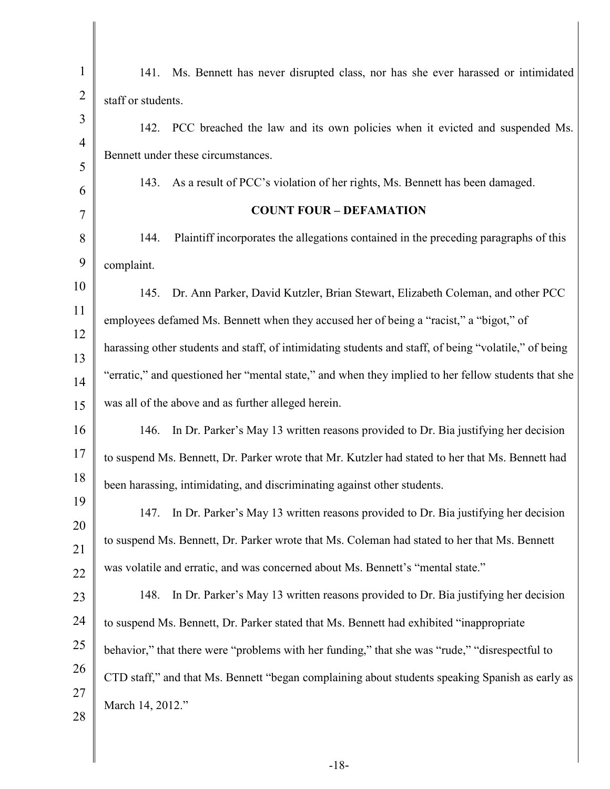| $\mathbf{1}$        | 141. Ms. Bennett has never disrupted class, nor has she ever harassed or intimidated                  |
|---------------------|-------------------------------------------------------------------------------------------------------|
| $\overline{2}$      | staff or students.                                                                                    |
| 3                   | 142. PCC breached the law and its own policies when it evicted and suspended Ms.                      |
| $\overline{4}$<br>5 | Bennett under these circumstances.                                                                    |
| 6                   | As a result of PCC's violation of her rights, Ms. Bennett has been damaged.<br>143.                   |
| 7                   | <b>COUNT FOUR - DEFAMATION</b>                                                                        |
| 8                   | Plaintiff incorporates the allegations contained in the preceding paragraphs of this<br>144.          |
| 9                   | complaint.                                                                                            |
| 10                  | 145. Dr. Ann Parker, David Kutzler, Brian Stewart, Elizabeth Coleman, and other PCC                   |
| 11                  | employees defamed Ms. Bennett when they accused her of being a "racist," a "bigot," of                |
| 12                  | harassing other students and staff, of intimidating students and staff, of being "volatile," of being |
| 13<br>14            | "erratic," and questioned her "mental state," and when they implied to her fellow students that she   |
| 15                  | was all of the above and as further alleged herein.                                                   |
| 16                  | In Dr. Parker's May 13 written reasons provided to Dr. Bia justifying her decision<br>146.            |
| 17                  | to suspend Ms. Bennett, Dr. Parker wrote that Mr. Kutzler had stated to her that Ms. Bennett had      |
| 18                  | been harassing, intimidating, and discriminating against other students.                              |
| 19                  | In Dr. Parker's May 13 written reasons provided to Dr. Bia justifying her decision<br>147.            |
| 20                  | to suspend Ms. Bennett, Dr. Parker wrote that Ms. Coleman had stated to her that Ms. Bennett          |
| 21<br>22            | was volatile and erratic, and was concerned about Ms. Bennett's "mental state."                       |
| 23                  | 148.<br>In Dr. Parker's May 13 written reasons provided to Dr. Bia justifying her decision            |
| 24                  | to suspend Ms. Bennett, Dr. Parker stated that Ms. Bennett had exhibited "inappropriate"              |
| 25                  | behavior," that there were "problems with her funding," that she was "rude," "disrespectful to        |
| 26                  | CTD staff," and that Ms. Bennett "began complaining about students speaking Spanish as early as       |
| 27                  | March 14, 2012."                                                                                      |
| 28                  |                                                                                                       |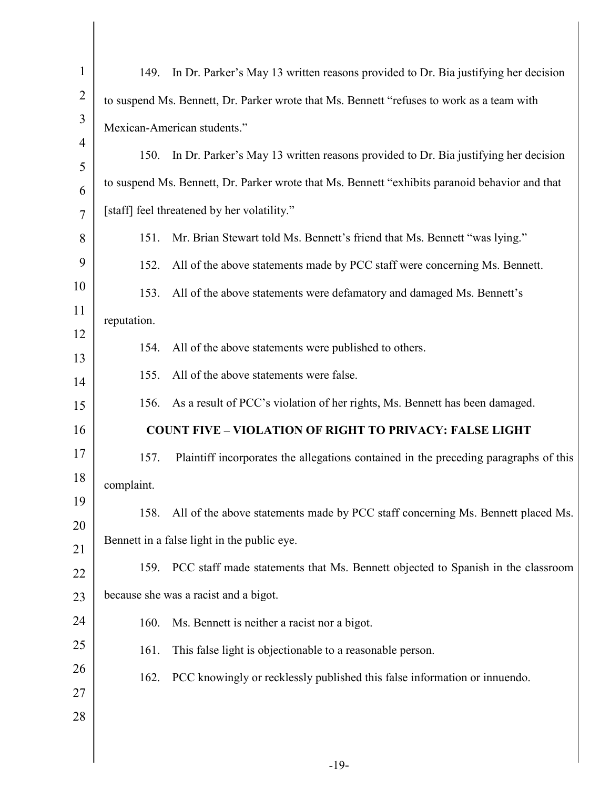| $\mathbf{1}$        | 149.        | In Dr. Parker's May 13 written reasons provided to Dr. Bia justifying her decision             |
|---------------------|-------------|------------------------------------------------------------------------------------------------|
| $\overline{2}$      |             | to suspend Ms. Bennett, Dr. Parker wrote that Ms. Bennett "refuses to work as a team with      |
| 3                   |             | Mexican-American students."                                                                    |
| $\overline{4}$<br>5 | 150.        | In Dr. Parker's May 13 written reasons provided to Dr. Bia justifying her decision             |
| 6                   |             | to suspend Ms. Bennett, Dr. Parker wrote that Ms. Bennett "exhibits paranoid behavior and that |
| 7                   |             | [staff] feel threatened by her volatility."                                                    |
| 8                   | 151.        | Mr. Brian Stewart told Ms. Bennett's friend that Ms. Bennett "was lying."                      |
| 9                   | 152.        | All of the above statements made by PCC staff were concerning Ms. Bennett.                     |
| 10                  | 153.        | All of the above statements were defamatory and damaged Ms. Bennett's                          |
| 11                  | reputation. |                                                                                                |
| 12<br>13            | 154.        | All of the above statements were published to others.                                          |
| 14                  | 155.        | All of the above statements were false.                                                        |
| 15                  | 156.        | As a result of PCC's violation of her rights, Ms. Bennett has been damaged.                    |
| 16                  |             | <b>COUNT FIVE - VIOLATION OF RIGHT TO PRIVACY: FALSE LIGHT</b>                                 |
| 17                  | 157.        | Plaintiff incorporates the allegations contained in the preceding paragraphs of this           |
| 18                  | complaint.  |                                                                                                |
| 19<br>20            | 158.        | All of the above statements made by PCC staff concerning Ms. Bennett placed Ms.                |
| 21                  |             | Bennett in a false light in the public eye.                                                    |
| 22                  |             | 159. PCC staff made statements that Ms. Bennett objected to Spanish in the classroom           |
| 23                  |             | because she was a racist and a bigot.                                                          |
| 24                  | 160.        | Ms. Bennett is neither a racist nor a bigot.                                                   |
| 25                  | 161.        | This false light is objectionable to a reasonable person.                                      |
| 26                  | 162.        | PCC knowingly or recklessly published this false information or innuendo.                      |
| 27<br>28            |             |                                                                                                |
|                     |             |                                                                                                |
|                     |             |                                                                                                |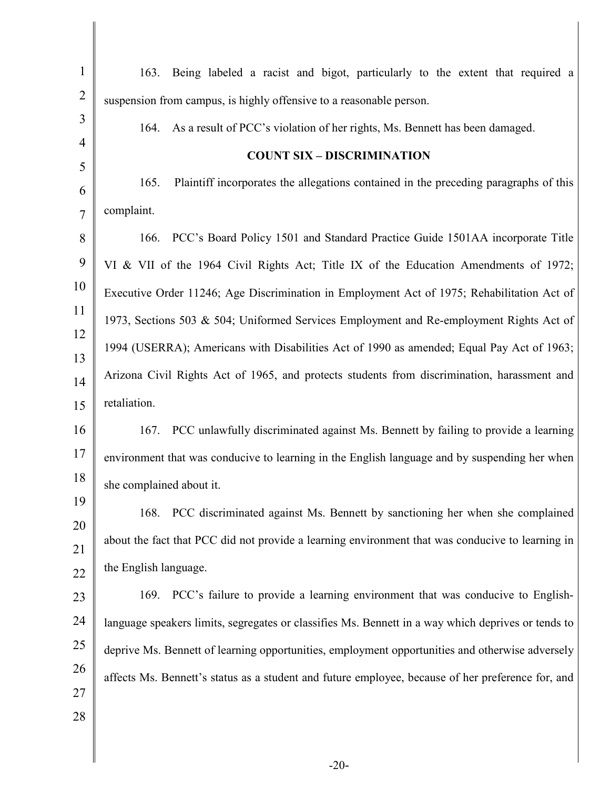| $\mathbf{1}$   | 163. Being labeled a racist and bigot, particularly to the extent that required a                  |
|----------------|----------------------------------------------------------------------------------------------------|
| $\overline{2}$ | suspension from campus, is highly offensive to a reasonable person.                                |
| 3              | As a result of PCC's violation of her rights, Ms. Bennett has been damaged.<br>164.                |
| $\overline{4}$ | <b>COUNT SIX - DISCRIMINATION</b>                                                                  |
| 5              | Plaintiff incorporates the allegations contained in the preceding paragraphs of this<br>165.       |
| 6              | complaint.                                                                                         |
| $\overline{7}$ |                                                                                                    |
| 8              | PCC's Board Policy 1501 and Standard Practice Guide 1501AA incorporate Title<br>166.               |
| 9              | VI & VII of the 1964 Civil Rights Act; Title IX of the Education Amendments of 1972;               |
| 10             | Executive Order 11246; Age Discrimination in Employment Act of 1975; Rehabilitation Act of         |
| 11             | 1973, Sections 503 & 504; Uniformed Services Employment and Re-employment Rights Act of            |
| 12<br>13       | 1994 (USERRA); Americans with Disabilities Act of 1990 as amended; Equal Pay Act of 1963;          |
| 14             | Arizona Civil Rights Act of 1965, and protects students from discrimination, harassment and        |
| 15             | retaliation.                                                                                       |
| 16             | PCC unlawfully discriminated against Ms. Bennett by failing to provide a learning<br>167.          |
| 17             | environment that was conducive to learning in the English language and by suspending her when      |
| 18             | she complained about it.                                                                           |
| 19             | PCC discriminated against Ms. Bennett by sanctioning her when she complained<br>168.               |
| 20             | about the fact that PCC did not provide a learning environment that was conducive to learning in   |
| 21             | the English language.                                                                              |
| 22             | 169. PCC's failure to provide a learning environment that was conducive to English-                |
| 23             |                                                                                                    |
| 24             | language speakers limits, segregates or classifies Ms. Bennett in a way which deprives or tends to |
| 25             | deprive Ms. Bennett of learning opportunities, employment opportunities and otherwise adversely    |
| 26<br>27       | affects Ms. Bennett's status as a student and future employee, because of her preference for, and  |
| 28             |                                                                                                    |
|                |                                                                                                    |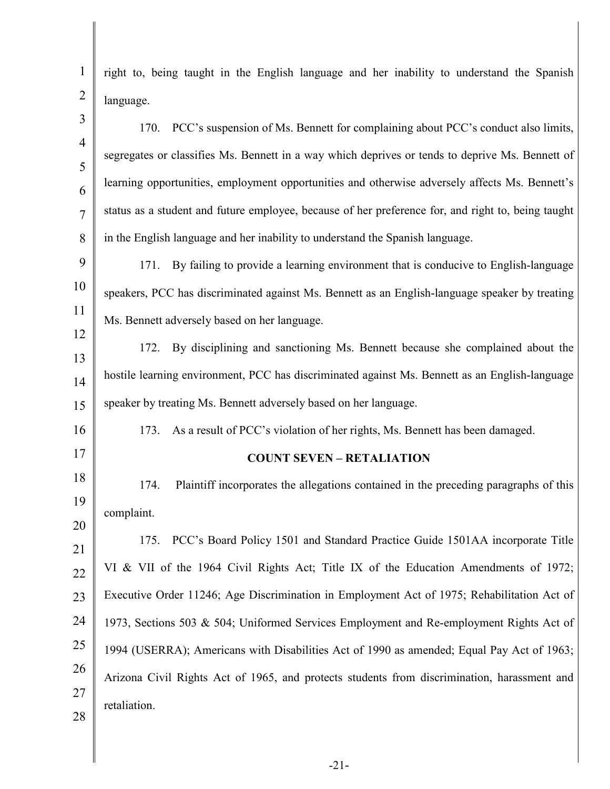1 2 3 4 5 6 7 8 9 10 11 12 13 14 15 16 17 18 19 20 21 22 23 24 25 26 27 28 right to, being taught in the English language and her inability to understand the Spanish language. 170. PCC's suspension of Ms. Bennett for complaining about PCC's conduct also limits, segregates or classifies Ms. Bennett in a way which deprives or tends to deprive Ms. Bennett of learning opportunities, employment opportunities and otherwise adversely affects Ms. Bennett's status as a student and future employee, because of her preference for, and right to, being taught in the English language and her inability to understand the Spanish language. 171. By failing to provide a learning environment that is conducive to English-language speakers, PCC has discriminated against Ms. Bennett as an English-language speaker by treating Ms. Bennett adversely based on her language. 172. By disciplining and sanctioning Ms. Bennett because she complained about the hostile learning environment, PCC has discriminated against Ms. Bennett as an English-language speaker by treating Ms. Bennett adversely based on her language. 173. As a result of PCC's violation of her rights, Ms. Bennett has been damaged. **COUNT SEVEN – RETALIATION**  174. Plaintiff incorporates the allegations contained in the preceding paragraphs of this complaint. 175. PCC's Board Policy 1501 and Standard Practice Guide 1501AA incorporate Title VI & VII of the 1964 Civil Rights Act; Title IX of the Education Amendments of 1972; Executive Order 11246; Age Discrimination in Employment Act of 1975; Rehabilitation Act of 1973, Sections 503 & 504; Uniformed Services Employment and Re-employment Rights Act of 1994 (USERRA); Americans with Disabilities Act of 1990 as amended; Equal Pay Act of 1963; Arizona Civil Rights Act of 1965, and protects students from discrimination, harassment and retaliation.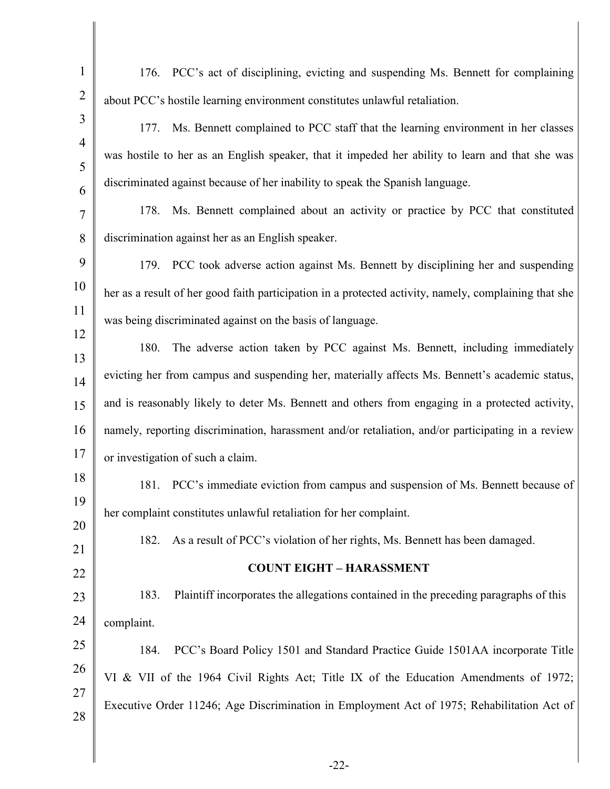| $\mathbf{1}$   | 176. PCC's act of disciplining, evicting and suspending Ms. Bennett for complaining                   |
|----------------|-------------------------------------------------------------------------------------------------------|
| $\overline{2}$ | about PCC's hostile learning environment constitutes unlawful retaliation.                            |
| 3              | Ms. Bennett complained to PCC staff that the learning environment in her classes<br>177.              |
| $\overline{4}$ | was hostile to her as an English speaker, that it impeded her ability to learn and that she was       |
| 5<br>6         | discriminated against because of her inability to speak the Spanish language.                         |
| $\tau$         | Ms. Bennett complained about an activity or practice by PCC that constituted<br>178.                  |
| 8              | discrimination against her as an English speaker.                                                     |
| 9              | 179. PCC took adverse action against Ms. Bennett by disciplining her and suspending                   |
| 10             | her as a result of her good faith participation in a protected activity, namely, complaining that she |
| 11             | was being discriminated against on the basis of language.                                             |
| 12             |                                                                                                       |
| 13             | 180.<br>The adverse action taken by PCC against Ms. Bennett, including immediately                    |
| 14             | evicting her from campus and suspending her, materially affects Ms. Bennett's academic status,        |
| 15             | and is reasonably likely to deter Ms. Bennett and others from engaging in a protected activity,       |
| 16             | namely, reporting discrimination, harassment and/or retaliation, and/or participating in a review     |
| 17             | or investigation of such a claim.                                                                     |
| 18             | PCC's immediate eviction from campus and suspension of Ms. Bennett because of<br>181.                 |
| 19             | her complaint constitutes unlawful retaliation for her complaint.                                     |
| 20             | As a result of PCC's violation of her rights, Ms. Bennett has been damaged.<br>182.                   |
| 21             | <b>COUNT EIGHT - HARASSMENT</b>                                                                       |
| 22             |                                                                                                       |
| 23             | Plaintiff incorporates the allegations contained in the preceding paragraphs of this<br>183.          |
| 24             | complaint.                                                                                            |
| 25             | PCC's Board Policy 1501 and Standard Practice Guide 1501AA incorporate Title<br>184.                  |
| 26             | VI & VII of the 1964 Civil Rights Act; Title IX of the Education Amendments of 1972;                  |
| 27<br>28       | Executive Order 11246; Age Discrimination in Employment Act of 1975; Rehabilitation Act of            |
|                |                                                                                                       |
|                |                                                                                                       |

Ι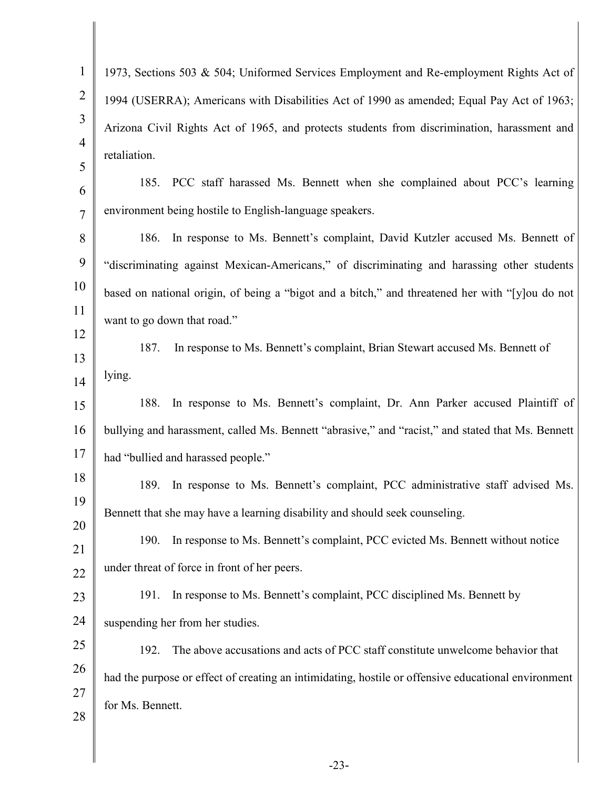| $\mathbf{1}$        | 1973, Sections 503 & 504; Uniformed Services Employment and Re-employment Rights Act of             |
|---------------------|-----------------------------------------------------------------------------------------------------|
| $\overline{2}$      | 1994 (USERRA); Americans with Disabilities Act of 1990 as amended; Equal Pay Act of 1963;           |
| 3                   | Arizona Civil Rights Act of 1965, and protects students from discrimination, harassment and         |
| $\overline{4}$<br>5 | retaliation.                                                                                        |
| 6                   | 185. PCC staff harassed Ms. Bennett when she complained about PCC's learning                        |
| $\overline{7}$      | environment being hostile to English-language speakers.                                             |
| 8                   | 186.<br>In response to Ms. Bennett's complaint, David Kutzler accused Ms. Bennett of                |
| 9                   | "discriminating against Mexican-Americans," of discriminating and harassing other students          |
| 10                  | based on national origin, of being a "bigot and a bitch," and threatened her with "[y]ou do not     |
| 11                  | want to go down that road."                                                                         |
| 12<br>13            | 187.<br>In response to Ms. Bennett's complaint, Brian Stewart accused Ms. Bennett of                |
| 14                  | lying.                                                                                              |
| 15                  | In response to Ms. Bennett's complaint, Dr. Ann Parker accused Plaintiff of<br>188.                 |
| 16                  | bullying and harassment, called Ms. Bennett "abrasive," and "racist," and stated that Ms. Bennett   |
| 17                  | had "bullied and harassed people."                                                                  |
| 18                  | 189.<br>In response to Ms. Bennett's complaint, PCC administrative staff advised Ms.                |
| 19                  | Bennett that she may have a learning disability and should seek counseling.                         |
| 20<br>21            | In response to Ms. Bennett's complaint, PCC evicted Ms. Bennett without notice<br>190.              |
| 22                  | under threat of force in front of her peers.                                                        |
| 23                  | In response to Ms. Bennett's complaint, PCC disciplined Ms. Bennett by<br>191.                      |
| 24                  | suspending her from her studies.                                                                    |
| 25                  | The above accusations and acts of PCC staff constitute unwelcome behavior that<br>192.              |
| 26                  | had the purpose or effect of creating an intimidating, hostile or offensive educational environment |
| 27                  | for Ms. Bennett.                                                                                    |
| 28                  |                                                                                                     |
|                     | າາ                                                                                                  |

-23-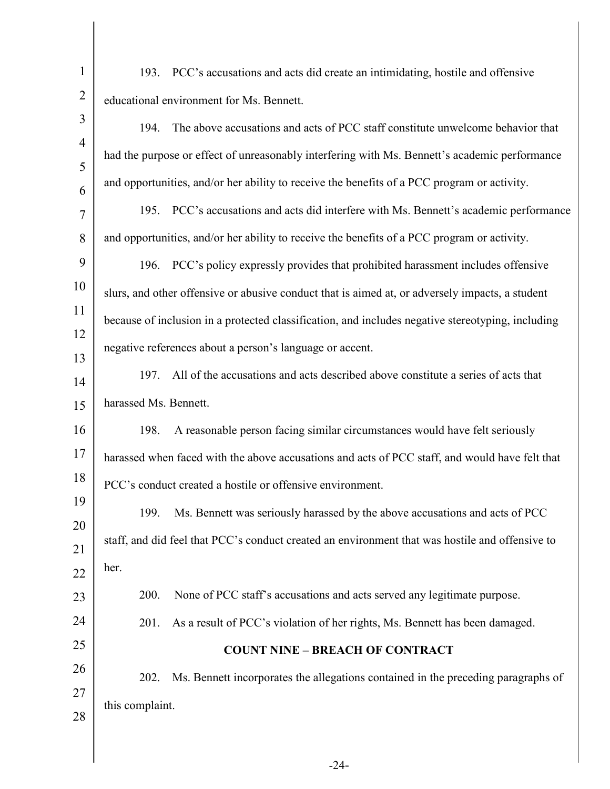| $\mathbf{1}$        | 193. PCC's accusations and acts did create an intimidating, hostile and offensive                 |
|---------------------|---------------------------------------------------------------------------------------------------|
| $\overline{2}$      | educational environment for Ms. Bennett.                                                          |
| 3                   | The above accusations and acts of PCC staff constitute unwelcome behavior that<br>194.            |
| $\overline{4}$      | had the purpose or effect of unreasonably interfering with Ms. Bennett's academic performance     |
| 5                   | and opportunities, and/or her ability to receive the benefits of a PCC program or activity.       |
| 6<br>$\overline{7}$ | PCC's accusations and acts did interfere with Ms. Bennett's academic performance<br>195.          |
| 8                   | and opportunities, and/or her ability to receive the benefits of a PCC program or activity.       |
| 9                   | 196. PCC's policy expressly provides that prohibited harassment includes offensive                |
| 10                  | slurs, and other offensive or abusive conduct that is aimed at, or adversely impacts, a student   |
| 11                  | because of inclusion in a protected classification, and includes negative stereotyping, including |
| 12                  |                                                                                                   |
| 13                  | negative references about a person's language or accent.                                          |
| 14                  | All of the accusations and acts described above constitute a series of acts that<br>197.          |
| 15                  | harassed Ms. Bennett.                                                                             |
| 16                  | A reasonable person facing similar circumstances would have felt seriously<br>198.                |
| 17                  | harassed when faced with the above accusations and acts of PCC staff, and would have felt that    |
| 18                  | PCC's conduct created a hostile or offensive environment.                                         |
| 19                  | Ms. Bennett was seriously harassed by the above accusations and acts of PCC<br>199.               |
| 20                  | staff, and did feel that PCC's conduct created an environment that was hostile and offensive to   |
| 21                  | her.                                                                                              |
| 22                  | 200.<br>None of PCC staff's accusations and acts served any legitimate purpose.                   |
| 23                  |                                                                                                   |
| 24                  | As a result of PCC's violation of her rights, Ms. Bennett has been damaged.<br>201.               |
| 25                  | <b>COUNT NINE - BREACH OF CONTRACT</b>                                                            |
| 26                  | Ms. Bennett incorporates the allegations contained in the preceding paragraphs of<br>202.         |
| 27                  | this complaint.                                                                                   |
| 28                  |                                                                                                   |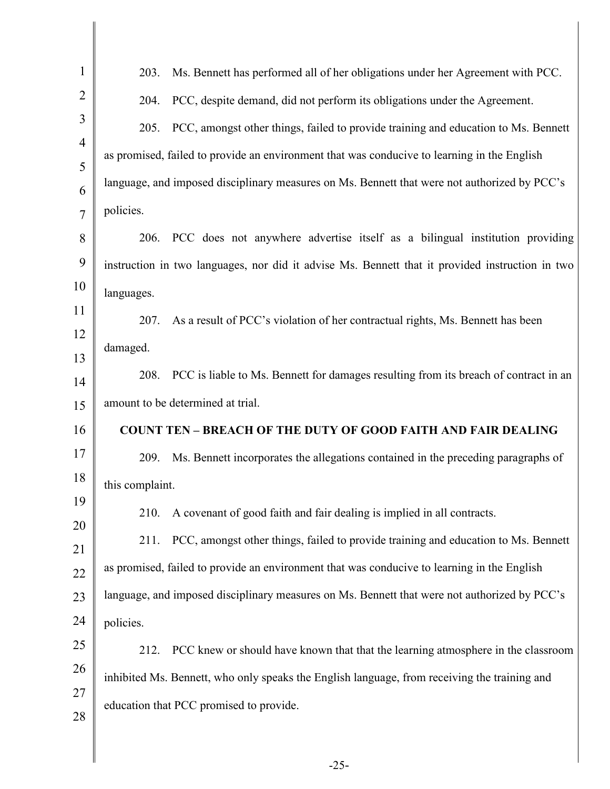| $\mathbf{1}$   | Ms. Bennett has performed all of her obligations under her Agreement with PCC.<br>203.          |
|----------------|-------------------------------------------------------------------------------------------------|
| $\overline{2}$ | PCC, despite demand, did not perform its obligations under the Agreement.<br>204.               |
| $\overline{3}$ | PCC, amongst other things, failed to provide training and education to Ms. Bennett<br>205.      |
| $\overline{4}$ | as promised, failed to provide an environment that was conducive to learning in the English     |
| 5              |                                                                                                 |
| 6              | language, and imposed disciplinary measures on Ms. Bennett that were not authorized by PCC's    |
| $\overline{7}$ | policies.                                                                                       |
| 8              | PCC does not anywhere advertise itself as a bilingual institution providing<br>206.             |
| 9              | instruction in two languages, nor did it advise Ms. Bennett that it provided instruction in two |
| 10             | languages.                                                                                      |
| 11             | As a result of PCC's violation of her contractual rights, Ms. Bennett has been<br>207.          |
| 12             | damaged.                                                                                        |
| 13             | PCC is liable to Ms. Bennett for damages resulting from its breach of contract in an<br>208.    |
| 14             | amount to be determined at trial.                                                               |
| 15             |                                                                                                 |
| 16             | <b>COUNT TEN - BREACH OF THE DUTY OF GOOD FAITH AND FAIR DEALING</b>                            |
| 17             | Ms. Bennett incorporates the allegations contained in the preceding paragraphs of<br>209.       |
| 18             | this complaint.                                                                                 |
| 19             | A covenant of good faith and fair dealing is implied in all contracts.<br>210.                  |
| 20<br>21       | PCC, amongst other things, failed to provide training and education to Ms. Bennett<br>211.      |
| 22             | as promised, failed to provide an environment that was conducive to learning in the English     |
| 23             | language, and imposed disciplinary measures on Ms. Bennett that were not authorized by PCC's    |
| 24             | policies.                                                                                       |
| $25\,$         |                                                                                                 |
| 26             | PCC knew or should have known that that the learning atmosphere in the classroom<br>212.        |
| 27             | inhibited Ms. Bennett, who only speaks the English language, from receiving the training and    |
| 28             | education that PCC promised to provide.                                                         |
|                |                                                                                                 |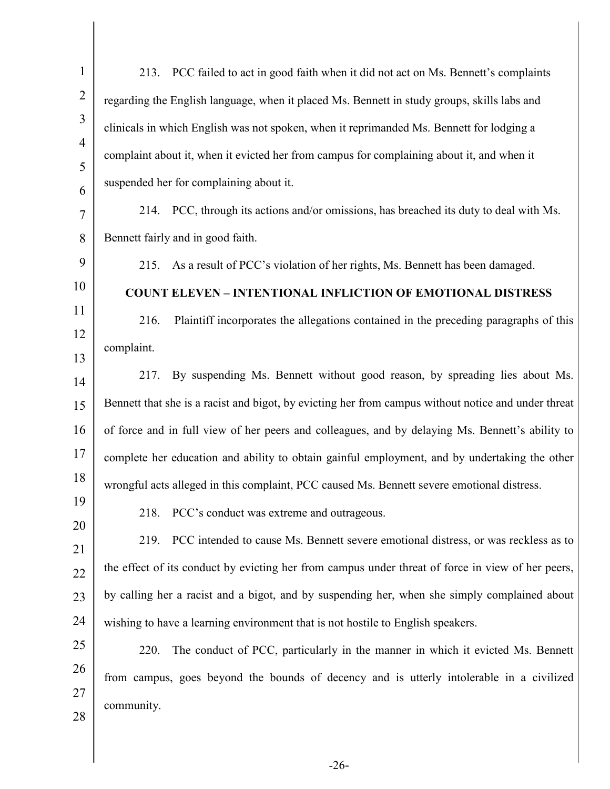| $\mathbf{1}$        | PCC failed to act in good faith when it did not act on Ms. Bennett's complaints<br>213.             |
|---------------------|-----------------------------------------------------------------------------------------------------|
| $\overline{2}$      | regarding the English language, when it placed Ms. Bennett in study groups, skills labs and         |
| 3                   | clinicals in which English was not spoken, when it reprimanded Ms. Bennett for lodging a            |
| $\overline{4}$<br>5 | complaint about it, when it evicted her from campus for complaining about it, and when it           |
| 6                   | suspended her for complaining about it.                                                             |
| $\overline{7}$      | 214. PCC, through its actions and/or omissions, has breached its duty to deal with Ms.              |
| 8                   | Bennett fairly and in good faith.                                                                   |
| 9                   | As a result of PCC's violation of her rights, Ms. Bennett has been damaged.<br>215.                 |
| 10                  | <b>COUNT ELEVEN - INTENTIONAL INFLICTION OF EMOTIONAL DISTRESS</b>                                  |
| 11                  | Plaintiff incorporates the allegations contained in the preceding paragraphs of this<br>216.        |
| 12<br>13            | complaint.                                                                                          |
| 14                  | By suspending Ms. Bennett without good reason, by spreading lies about Ms.<br>217.                  |
| 15                  | Bennett that she is a racist and bigot, by evicting her from campus without notice and under threat |
| 16                  | of force and in full view of her peers and colleagues, and by delaying Ms. Bennett's ability to     |
| 17                  | complete her education and ability to obtain gainful employment, and by undertaking the other       |
| 18                  | wrongful acts alleged in this complaint, PCC caused Ms. Bennett severe emotional distress.          |
| 19                  | PCC's conduct was extreme and outrageous.<br>218.                                                   |
| 20<br>21            | PCC intended to cause Ms. Bennett severe emotional distress, or was reckless as to<br>219.          |
| 22                  | the effect of its conduct by evicting her from campus under threat of force in view of her peers,   |
| 23                  | by calling her a racist and a bigot, and by suspending her, when she simply complained about        |
| 24                  | wishing to have a learning environment that is not hostile to English speakers.                     |
| 25                  | The conduct of PCC, particularly in the manner in which it evicted Ms. Bennett<br>220.              |
| 26                  | from campus, goes beyond the bounds of decency and is utterly intolerable in a civilized            |
| 27                  | community.                                                                                          |
| 28                  |                                                                                                     |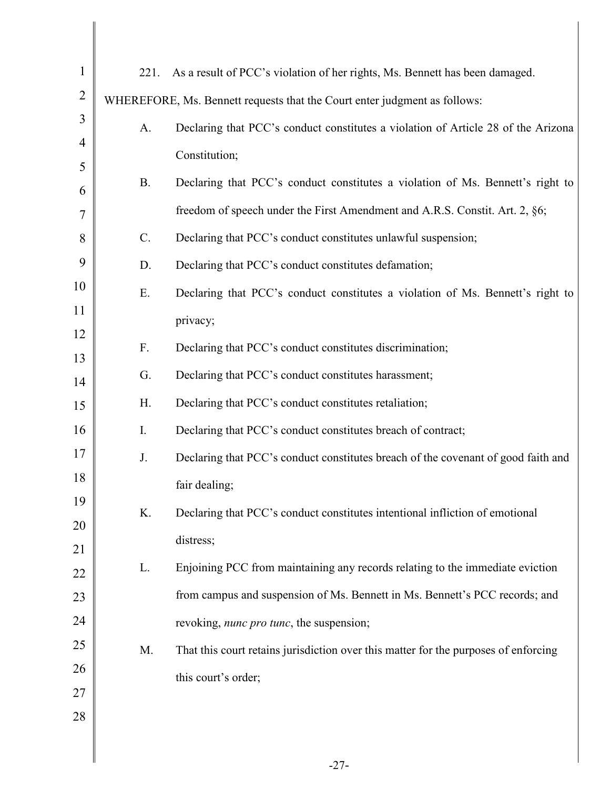| $\mathbf{1}$   | 221.      | As a result of PCC's violation of her rights, Ms. Bennett has been damaged.         |
|----------------|-----------|-------------------------------------------------------------------------------------|
| $\overline{2}$ |           | WHEREFORE, Ms. Bennett requests that the Court enter judgment as follows:           |
| 3              | A.        | Declaring that PCC's conduct constitutes a violation of Article 28 of the Arizona   |
| $\overline{4}$ |           | Constitution;                                                                       |
| 5              | <b>B.</b> | Declaring that PCC's conduct constitutes a violation of Ms. Bennett's right to      |
| 6<br>7         |           | freedom of speech under the First Amendment and A.R.S. Constit. Art. 2, §6;         |
| 8              | $C$ .     | Declaring that PCC's conduct constitutes unlawful suspension;                       |
| 9              | D.        | Declaring that PCC's conduct constitutes defamation;                                |
| 10             |           |                                                                                     |
| 11             | Ε.        | Declaring that PCC's conduct constitutes a violation of Ms. Bennett's right to      |
| 12             |           | privacy;                                                                            |
| 13             | F.        | Declaring that PCC's conduct constitutes discrimination;                            |
| 14             | G.        | Declaring that PCC's conduct constitutes harassment;                                |
| 15             | H.        | Declaring that PCC's conduct constitutes retaliation;                               |
| 16             | I.        | Declaring that PCC's conduct constitutes breach of contract;                        |
| 17             | J.        | Declaring that PCC's conduct constitutes breach of the covenant of good faith and   |
| 18             |           | fair dealing;                                                                       |
| 19             | K.        | Declaring that PCC's conduct constitutes intentional infliction of emotional        |
| 20             |           | distress;                                                                           |
| 21             | L.        | Enjoining PCC from maintaining any records relating to the immediate eviction       |
| 22             |           |                                                                                     |
| 23             |           | from campus and suspension of Ms. Bennett in Ms. Bennett's PCC records; and         |
| 24             |           | revoking, <i>nunc pro tunc</i> , the suspension;                                    |
| 25             | M.        | That this court retains jurisdiction over this matter for the purposes of enforcing |
| 26             |           | this court's order;                                                                 |
| 27<br>$28\,$   |           |                                                                                     |
|                |           |                                                                                     |
|                |           | າາ                                                                                  |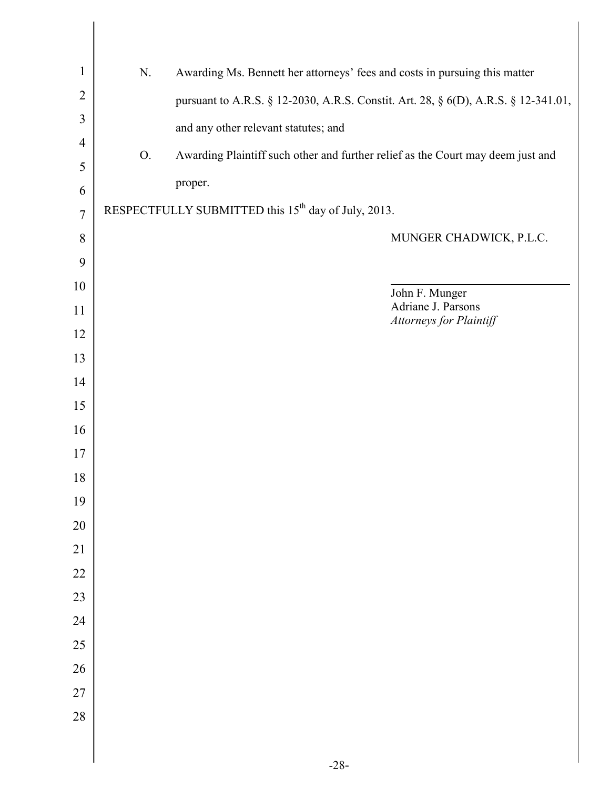| $\mathbf{1}$   | Awarding Ms. Bennett her attorneys' fees and costs in pursuing this matter<br>N.      |
|----------------|---------------------------------------------------------------------------------------|
| $\overline{2}$ | pursuant to A.R.S. § 12-2030, A.R.S. Constit. Art. 28, § 6(D), A.R.S. § 12-341.01,    |
| 3              | and any other relevant statutes; and                                                  |
| 4              | Awarding Plaintiff such other and further relief as the Court may deem just and<br>O. |
| 5              |                                                                                       |
| 6              | proper.                                                                               |
| $\overline{7}$ | RESPECTFULLY SUBMITTED this 15 <sup>th</sup> day of July, 2013.                       |
| 8              | MUNGER CHADWICK, P.L.C.                                                               |
| 9              |                                                                                       |
| 10             | John F. Munger                                                                        |
| 11             | Adriane J. Parsons<br>Attorneys for Plaintiff                                         |
| 12             |                                                                                       |
| 13             |                                                                                       |
| 14             |                                                                                       |
| 15             |                                                                                       |
| 16             |                                                                                       |
| 17             |                                                                                       |
| 18             |                                                                                       |
| 19             |                                                                                       |
| 20             |                                                                                       |
| 21             |                                                                                       |
| 22             |                                                                                       |
| 23             |                                                                                       |
| 24             |                                                                                       |
| 25             |                                                                                       |
| 26             |                                                                                       |
| $27\,$         |                                                                                       |
| 28             |                                                                                       |
|                |                                                                                       |
|                |                                                                                       |

I Ι